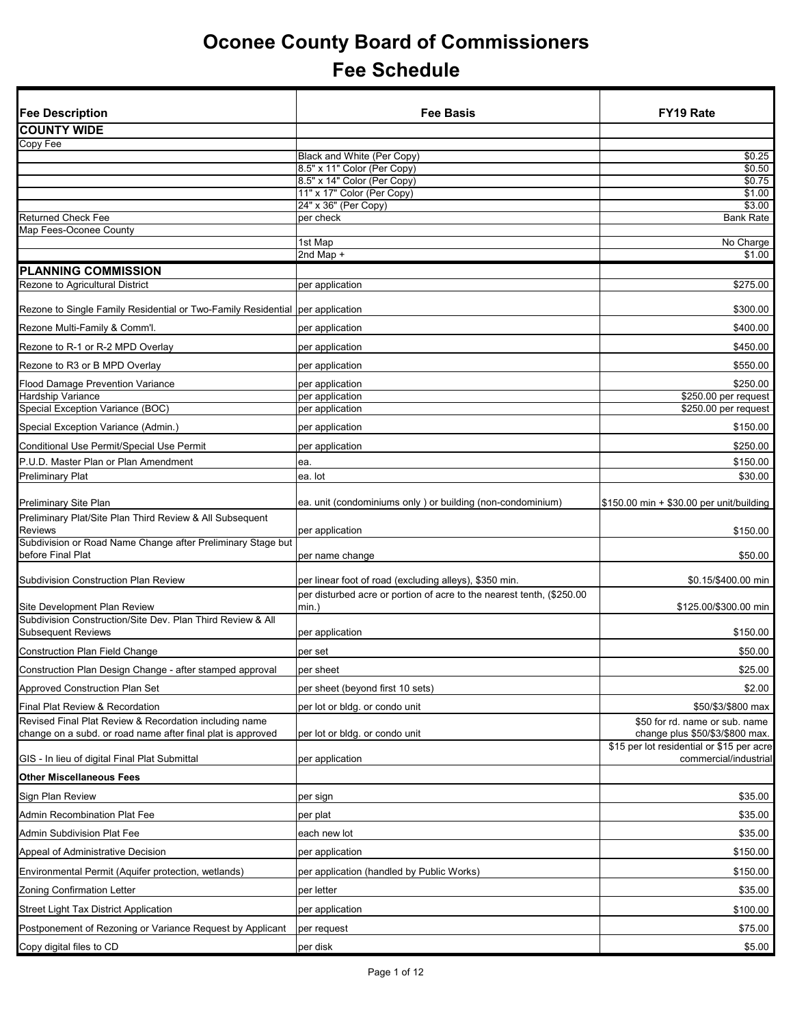| <b>Fee Description</b>                                                                                                | <b>Fee Basis</b>                                                                  | <b>FY19 Rate</b>                                                   |
|-----------------------------------------------------------------------------------------------------------------------|-----------------------------------------------------------------------------------|--------------------------------------------------------------------|
| <b>COUNTY WIDE</b>                                                                                                    |                                                                                   |                                                                    |
| Copy Fee                                                                                                              |                                                                                   |                                                                    |
|                                                                                                                       | Black and White (Per Copy)                                                        | \$0.25                                                             |
|                                                                                                                       | 8.5" x 11" Color (Per Copy)<br>8.5" x 14" Color (Per Copy)                        | \$0.50<br>\$0.75                                                   |
|                                                                                                                       | 11" x 17" Color (Per Copy)                                                        | \$1.00                                                             |
|                                                                                                                       | 24" x 36" (Per Copy)                                                              | \$3.00                                                             |
| <b>Returned Check Fee</b><br>Map Fees-Oconee County                                                                   | per check                                                                         | <b>Bank Rate</b>                                                   |
|                                                                                                                       | 1st Map                                                                           | No Charge                                                          |
|                                                                                                                       | 2nd Map +                                                                         | \$1.00                                                             |
| <b>PLANNING COMMISSION</b>                                                                                            |                                                                                   |                                                                    |
| Rezone to Agricultural District                                                                                       | per application                                                                   | \$275.00                                                           |
| Rezone to Single Family Residential or Two-Family Residential                                                         | per application                                                                   | \$300.00                                                           |
| Rezone Multi-Family & Comm'l.                                                                                         | per application                                                                   | \$400.00                                                           |
| Rezone to R-1 or R-2 MPD Overlay                                                                                      | per application                                                                   | \$450.00                                                           |
| Rezone to R3 or B MPD Overlay                                                                                         | per application                                                                   | \$550.00                                                           |
| <b>Flood Damage Prevention Variance</b>                                                                               | per application                                                                   | \$250.00                                                           |
| Hardship Variance                                                                                                     | per application                                                                   | \$250.00 per request                                               |
| Special Exception Variance (BOC)                                                                                      | per application                                                                   | \$250.00 per request                                               |
| Special Exception Variance (Admin.)                                                                                   | per application                                                                   | \$150.00                                                           |
| Conditional Use Permit/Special Use Permit                                                                             | per application                                                                   | \$250.00                                                           |
| P.U.D. Master Plan or Plan Amendment                                                                                  | ea.                                                                               | \$150.00                                                           |
| <b>Preliminary Plat</b>                                                                                               | ea. lot                                                                           | \$30.00                                                            |
| <b>Preliminary Site Plan</b>                                                                                          | ea. unit (condominiums only) or building (non-condominium)                        | \$150.00 min + \$30.00 per unit/building                           |
| Preliminary Plat/Site Plan Third Review & All Subsequent                                                              |                                                                                   |                                                                    |
| <b>Reviews</b><br>Subdivision or Road Name Change after Preliminary Stage but                                         | per application                                                                   | \$150.00                                                           |
| before Final Plat                                                                                                     | per name change                                                                   | \$50.00                                                            |
| <b>Subdivision Construction Plan Review</b>                                                                           | per linear foot of road (excluding alleys), \$350 min.                            | \$0.15/\$400.00 min                                                |
|                                                                                                                       | per disturbed acre or portion of acre to the nearest tenth, (\$250.00<br>$min.$ ) | \$125.00/\$300.00 min                                              |
| <b>Site Development Plan Review</b><br>Subdivision Construction/Site Dev. Plan Third Review & All                     |                                                                                   |                                                                    |
| <b>Subsequent Reviews</b>                                                                                             | per application                                                                   | \$150.00                                                           |
| <b>Construction Plan Field Change</b>                                                                                 | per set                                                                           | \$50.00                                                            |
| Construction Plan Design Change - after stamped approval                                                              | per sheet                                                                         | \$25.00                                                            |
| Approved Construction Plan Set                                                                                        | per sheet (beyond first 10 sets)                                                  | \$2.00                                                             |
| Final Plat Review & Recordation                                                                                       | per lot or bldg. or condo unit                                                    | \$50/\$3/\$800 max                                                 |
| Revised Final Plat Review & Recordation including name<br>change on a subd. or road name after final plat is approved | per lot or bldg. or condo unit                                                    | \$50 for rd. name or sub. name<br>change plus \$50/\$3/\$800 max.  |
|                                                                                                                       |                                                                                   | \$15 per lot residential or \$15 per acre<br>commercial/industrial |
| GIS - In lieu of digital Final Plat Submittal<br><b>Other Miscellaneous Fees</b>                                      | per application                                                                   |                                                                    |
|                                                                                                                       |                                                                                   |                                                                    |
| Sign Plan Review                                                                                                      | per sign                                                                          | \$35.00                                                            |
| Admin Recombination Plat Fee                                                                                          | per plat                                                                          | \$35.00                                                            |
| Admin Subdivision Plat Fee                                                                                            | each new lot                                                                      | \$35.00                                                            |
| Appeal of Administrative Decision                                                                                     | per application                                                                   | \$150.00                                                           |
| Environmental Permit (Aquifer protection, wetlands)                                                                   | per application (handled by Public Works)                                         | \$150.00                                                           |
| Zoning Confirmation Letter                                                                                            | per letter                                                                        | \$35.00                                                            |
| <b>Street Light Tax District Application</b>                                                                          | per application                                                                   | \$100.00                                                           |
| Postponement of Rezoning or Variance Request by Applicant                                                             | per request                                                                       | \$75.00                                                            |
| Copy digital files to CD                                                                                              | per disk                                                                          | \$5.00                                                             |
|                                                                                                                       |                                                                                   |                                                                    |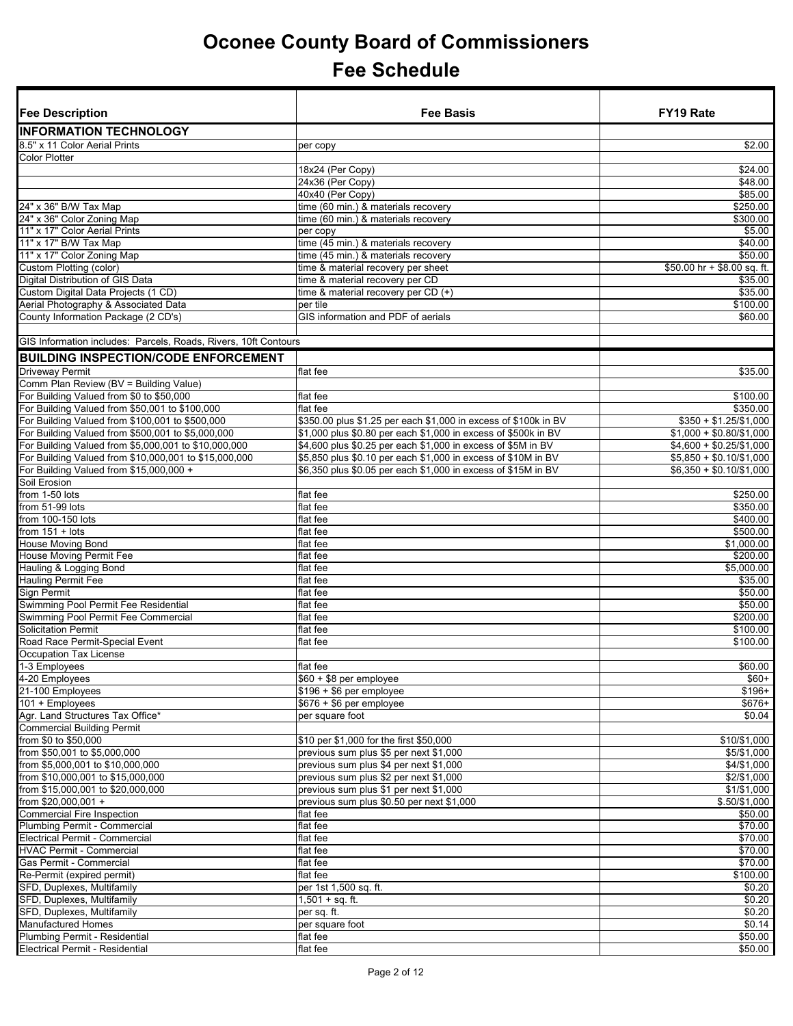| <b>INFORMATION TECHNOLOGY</b><br>8.5" x 11 Color Aerial Prints<br>\$2.00<br>per copy<br><b>Color Plotter</b><br>18x24 (Per Copy)<br>\$24.00<br>\$48.00<br>24x36 (Per Copy)<br>40x40 (Per Copy)<br>\$85.00<br>24" x 36" B/W Tax Map<br>time (60 min.) & materials recovery<br>\$250.00<br>\$300.00<br>24" x 36" Color Zoning Map<br>time (60 min.) & materials recovery<br>11" x 17" Color Aerial Prints<br>\$5.00<br>per copy<br>time (45 min.) & materials recovery<br>11" x 17" B/W Tax Map<br>\$40.00<br>11" x 17" Color Zoning Map<br>\$50.00<br>time (45 min.) & materials recovery<br>Custom Plotting (color)<br>time & material recovery per sheet<br>\$50.00 hr + \$8.00 sq. ft.<br>Digital Distribution of GIS Data<br>time & material recovery per CD<br>\$35.00<br>Custom Digital Data Projects (1 CD)<br>time & material recovery per CD (+)<br>\$35.00<br>Aerial Photography & Associated Data<br>per tile<br>\$100.00<br>County Information Package (2 CD's)<br>GIS information and PDF of aerials<br>\$60.00<br>GIS Information includes: Parcels, Roads, Rivers, 10ft Contours<br><b>BUILDING INSPECTION/CODE ENFORCEMENT</b><br><b>Driveway Permit</b><br>flat fee<br>\$35.00<br>Comm Plan Review (BV = Building Value)<br>For Building Valued from \$0 to \$50,000<br>flat fee<br>\$100.00<br>For Building Valued from \$50,001 to \$100,000<br>flat fee<br>\$350.00<br>For Building Valued from \$100,001 to \$500,000<br>$$350 + $1.25 \times 1,000$<br>\$350.00 plus \$1.25 per each \$1,000 in excess of \$100k in BV<br>For Building Valued from \$500,001 to \$5,000,000<br>\$1,000 plus \$0.80 per each \$1,000 in excess of \$500k in BV<br>$$1,000 + $0.80 \times 1,000$<br>For Building Valued from \$5,000,001 to \$10,000,000<br>\$4,600 plus \$0.25 per each \$1,000 in excess of \$5M in BV<br>$$4,600 + $0.25/\$1,000$<br>For Building Valued from \$10,000,001 to \$15,000,000<br>\$5,850 plus \$0.10 per each \$1,000 in excess of \$10M in BV<br>$$5,850 + $0.10/\$1,000$<br>For Building Valued from \$15,000,000 +<br>\$6,350 plus \$0.05 per each \$1,000 in excess of \$15M in BV<br>$$6,350 + $0.10 \times 1000$<br>Soil Erosion<br>from 1-50 lots<br>flat fee<br>\$250.00<br>from 51-99 lots<br>flat fee<br>\$350.00<br>from 100-150 lots<br>flat fee<br>\$400.00<br>from $151 + \text{ lots}$<br>flat fee<br>\$500.00<br>\$1,000.00<br><b>House Moving Bond</b><br>flat fee<br>House Moving Permit Fee<br>flat fee<br>\$200.00<br>\$5,000.00<br>Hauling & Logging Bond<br>flat fee<br><b>Hauling Permit Fee</b><br>flat fee<br>\$35.00<br>Sign Permit<br>flat fee<br>\$50.00<br>Swimming Pool Permit Fee Residential<br>\$50.00<br>flat fee<br>Swimming Pool Permit Fee Commercial<br>flat fee<br>\$200.00<br><b>Solicitation Permit</b><br>flat fee<br>\$100.00<br>Road Race Permit-Special Event<br>\$100.00<br>flat fee<br>Occupation Tax License<br>1-3 Employees<br>flat fee<br>\$60.00<br>4-20 Employees<br>$$60 + $8$ per employee<br>$$60+$<br>21-100 Employees<br>$$196 + $6$ per employee<br>$$196+$<br>$$676 + $6$ per employee<br>101 + Employees<br>$$676+$<br>\$0.04<br>Agr. Land Structures Tax Office*<br>per square foot<br><b>Commercial Building Permit</b><br>\$10/\$1,000<br>from \$0 to \$50,000<br>\$10 per \$1,000 for the first \$50,000<br>from \$50,001 to \$5,000,000<br>previous sum plus \$5 per next \$1,000<br>\$5/\$1,000<br>from \$5,000,001 to \$10,000,000<br>\$4/\$1,000<br>previous sum plus \$4 per next \$1,000<br>previous sum plus \$2 per next \$1,000<br>\$2/\$1,000<br>from \$10,000,001 to \$15,000,000<br>previous sum plus \$1 per next \$1,000<br>\$1/\$1,000<br>from \$15,000,001 to \$20,000,000<br>from \$20,000,001 +<br>$$.50/\$1,000$<br>previous sum plus \$0.50 per next \$1,000<br><b>Commercial Fire Inspection</b><br>flat fee<br>\$50.00<br>Plumbing Permit - Commercial<br>flat fee<br>\$70.00<br><b>Electrical Permit - Commercial</b><br>flat fee<br>\$70.00<br><b>HVAC Permit - Commercial</b><br>\$70.00<br>flat fee<br>Gas Permit - Commercial<br>flat fee<br>\$70.00<br>\$100.00<br>Re-Permit (expired permit)<br>flat fee<br>SFD, Duplexes, Multifamily<br>per 1st 1,500 sq. ft.<br>\$0.20<br>SFD, Duplexes, Multifamily<br>$1,501 + sq.$ ft.<br>\$0.20<br>\$0.20<br>SFD, Duplexes, Multifamily<br>per sq. ft.<br><b>Manufactured Homes</b><br>per square foot<br>\$0.14<br>Plumbing Permit - Residential<br>flat fee<br>\$50.00<br>Electrical Permit - Residential<br>\$50.00<br>flat fee | <b>Fee Description</b> | <b>Fee Basis</b> | <b>FY19 Rate</b> |
|------------------------------------------------------------------------------------------------------------------------------------------------------------------------------------------------------------------------------------------------------------------------------------------------------------------------------------------------------------------------------------------------------------------------------------------------------------------------------------------------------------------------------------------------------------------------------------------------------------------------------------------------------------------------------------------------------------------------------------------------------------------------------------------------------------------------------------------------------------------------------------------------------------------------------------------------------------------------------------------------------------------------------------------------------------------------------------------------------------------------------------------------------------------------------------------------------------------------------------------------------------------------------------------------------------------------------------------------------------------------------------------------------------------------------------------------------------------------------------------------------------------------------------------------------------------------------------------------------------------------------------------------------------------------------------------------------------------------------------------------------------------------------------------------------------------------------------------------------------------------------------------------------------------------------------------------------------------------------------------------------------------------------------------------------------------------------------------------------------------------------------------------------------------------------------------------------------------------------------------------------------------------------------------------------------------------------------------------------------------------------------------------------------------------------------------------------------------------------------------------------------------------------------------------------------------------------------------------------------------------------------------------------------------------------------------------------------------------------------------------------------------------------------------------------------------------------------------------------------------------------------------------------------------------------------------------------------------------------------------------------------------------------------------------------------------------------------------------------------------------------------------------------------------------------------------------------------------------------------------------------------------------------------------------------------------------------------------------------------------------------------------------------------------------------------------------------------------------------------------------------------------------------------------------------------------------------------------------------------------------------------------------------------------------------------------------------------------------------------------------------------------------------------------------------------------------------------------------------------------------------------------------------------------------------------------------------------------------------------------------------------------------------------------------------------------------------------------------------------------------------------------------------------------------------------------------------------------------------------------------------------------------------------------------------------------------------------------------------------------------------------------------------------------------------------------------------------------------------------------------------------|------------------------|------------------|------------------|
|                                                                                                                                                                                                                                                                                                                                                                                                                                                                                                                                                                                                                                                                                                                                                                                                                                                                                                                                                                                                                                                                                                                                                                                                                                                                                                                                                                                                                                                                                                                                                                                                                                                                                                                                                                                                                                                                                                                                                                                                                                                                                                                                                                                                                                                                                                                                                                                                                                                                                                                                                                                                                                                                                                                                                                                                                                                                                                                                                                                                                                                                                                                                                                                                                                                                                                                                                                                                                                                                                                                                                                                                                                                                                                                                                                                                                                                                                                                                                                                                                                                                                                                                                                                                                                                                                                                                                                                                                                                                                                            |                        |                  |                  |
|                                                                                                                                                                                                                                                                                                                                                                                                                                                                                                                                                                                                                                                                                                                                                                                                                                                                                                                                                                                                                                                                                                                                                                                                                                                                                                                                                                                                                                                                                                                                                                                                                                                                                                                                                                                                                                                                                                                                                                                                                                                                                                                                                                                                                                                                                                                                                                                                                                                                                                                                                                                                                                                                                                                                                                                                                                                                                                                                                                                                                                                                                                                                                                                                                                                                                                                                                                                                                                                                                                                                                                                                                                                                                                                                                                                                                                                                                                                                                                                                                                                                                                                                                                                                                                                                                                                                                                                                                                                                                                            |                        |                  |                  |
|                                                                                                                                                                                                                                                                                                                                                                                                                                                                                                                                                                                                                                                                                                                                                                                                                                                                                                                                                                                                                                                                                                                                                                                                                                                                                                                                                                                                                                                                                                                                                                                                                                                                                                                                                                                                                                                                                                                                                                                                                                                                                                                                                                                                                                                                                                                                                                                                                                                                                                                                                                                                                                                                                                                                                                                                                                                                                                                                                                                                                                                                                                                                                                                                                                                                                                                                                                                                                                                                                                                                                                                                                                                                                                                                                                                                                                                                                                                                                                                                                                                                                                                                                                                                                                                                                                                                                                                                                                                                                                            |                        |                  |                  |
|                                                                                                                                                                                                                                                                                                                                                                                                                                                                                                                                                                                                                                                                                                                                                                                                                                                                                                                                                                                                                                                                                                                                                                                                                                                                                                                                                                                                                                                                                                                                                                                                                                                                                                                                                                                                                                                                                                                                                                                                                                                                                                                                                                                                                                                                                                                                                                                                                                                                                                                                                                                                                                                                                                                                                                                                                                                                                                                                                                                                                                                                                                                                                                                                                                                                                                                                                                                                                                                                                                                                                                                                                                                                                                                                                                                                                                                                                                                                                                                                                                                                                                                                                                                                                                                                                                                                                                                                                                                                                                            |                        |                  |                  |
|                                                                                                                                                                                                                                                                                                                                                                                                                                                                                                                                                                                                                                                                                                                                                                                                                                                                                                                                                                                                                                                                                                                                                                                                                                                                                                                                                                                                                                                                                                                                                                                                                                                                                                                                                                                                                                                                                                                                                                                                                                                                                                                                                                                                                                                                                                                                                                                                                                                                                                                                                                                                                                                                                                                                                                                                                                                                                                                                                                                                                                                                                                                                                                                                                                                                                                                                                                                                                                                                                                                                                                                                                                                                                                                                                                                                                                                                                                                                                                                                                                                                                                                                                                                                                                                                                                                                                                                                                                                                                                            |                        |                  |                  |
|                                                                                                                                                                                                                                                                                                                                                                                                                                                                                                                                                                                                                                                                                                                                                                                                                                                                                                                                                                                                                                                                                                                                                                                                                                                                                                                                                                                                                                                                                                                                                                                                                                                                                                                                                                                                                                                                                                                                                                                                                                                                                                                                                                                                                                                                                                                                                                                                                                                                                                                                                                                                                                                                                                                                                                                                                                                                                                                                                                                                                                                                                                                                                                                                                                                                                                                                                                                                                                                                                                                                                                                                                                                                                                                                                                                                                                                                                                                                                                                                                                                                                                                                                                                                                                                                                                                                                                                                                                                                                                            |                        |                  |                  |
|                                                                                                                                                                                                                                                                                                                                                                                                                                                                                                                                                                                                                                                                                                                                                                                                                                                                                                                                                                                                                                                                                                                                                                                                                                                                                                                                                                                                                                                                                                                                                                                                                                                                                                                                                                                                                                                                                                                                                                                                                                                                                                                                                                                                                                                                                                                                                                                                                                                                                                                                                                                                                                                                                                                                                                                                                                                                                                                                                                                                                                                                                                                                                                                                                                                                                                                                                                                                                                                                                                                                                                                                                                                                                                                                                                                                                                                                                                                                                                                                                                                                                                                                                                                                                                                                                                                                                                                                                                                                                                            |                        |                  |                  |
|                                                                                                                                                                                                                                                                                                                                                                                                                                                                                                                                                                                                                                                                                                                                                                                                                                                                                                                                                                                                                                                                                                                                                                                                                                                                                                                                                                                                                                                                                                                                                                                                                                                                                                                                                                                                                                                                                                                                                                                                                                                                                                                                                                                                                                                                                                                                                                                                                                                                                                                                                                                                                                                                                                                                                                                                                                                                                                                                                                                                                                                                                                                                                                                                                                                                                                                                                                                                                                                                                                                                                                                                                                                                                                                                                                                                                                                                                                                                                                                                                                                                                                                                                                                                                                                                                                                                                                                                                                                                                                            |                        |                  |                  |
|                                                                                                                                                                                                                                                                                                                                                                                                                                                                                                                                                                                                                                                                                                                                                                                                                                                                                                                                                                                                                                                                                                                                                                                                                                                                                                                                                                                                                                                                                                                                                                                                                                                                                                                                                                                                                                                                                                                                                                                                                                                                                                                                                                                                                                                                                                                                                                                                                                                                                                                                                                                                                                                                                                                                                                                                                                                                                                                                                                                                                                                                                                                                                                                                                                                                                                                                                                                                                                                                                                                                                                                                                                                                                                                                                                                                                                                                                                                                                                                                                                                                                                                                                                                                                                                                                                                                                                                                                                                                                                            |                        |                  |                  |
|                                                                                                                                                                                                                                                                                                                                                                                                                                                                                                                                                                                                                                                                                                                                                                                                                                                                                                                                                                                                                                                                                                                                                                                                                                                                                                                                                                                                                                                                                                                                                                                                                                                                                                                                                                                                                                                                                                                                                                                                                                                                                                                                                                                                                                                                                                                                                                                                                                                                                                                                                                                                                                                                                                                                                                                                                                                                                                                                                                                                                                                                                                                                                                                                                                                                                                                                                                                                                                                                                                                                                                                                                                                                                                                                                                                                                                                                                                                                                                                                                                                                                                                                                                                                                                                                                                                                                                                                                                                                                                            |                        |                  |                  |
|                                                                                                                                                                                                                                                                                                                                                                                                                                                                                                                                                                                                                                                                                                                                                                                                                                                                                                                                                                                                                                                                                                                                                                                                                                                                                                                                                                                                                                                                                                                                                                                                                                                                                                                                                                                                                                                                                                                                                                                                                                                                                                                                                                                                                                                                                                                                                                                                                                                                                                                                                                                                                                                                                                                                                                                                                                                                                                                                                                                                                                                                                                                                                                                                                                                                                                                                                                                                                                                                                                                                                                                                                                                                                                                                                                                                                                                                                                                                                                                                                                                                                                                                                                                                                                                                                                                                                                                                                                                                                                            |                        |                  |                  |
|                                                                                                                                                                                                                                                                                                                                                                                                                                                                                                                                                                                                                                                                                                                                                                                                                                                                                                                                                                                                                                                                                                                                                                                                                                                                                                                                                                                                                                                                                                                                                                                                                                                                                                                                                                                                                                                                                                                                                                                                                                                                                                                                                                                                                                                                                                                                                                                                                                                                                                                                                                                                                                                                                                                                                                                                                                                                                                                                                                                                                                                                                                                                                                                                                                                                                                                                                                                                                                                                                                                                                                                                                                                                                                                                                                                                                                                                                                                                                                                                                                                                                                                                                                                                                                                                                                                                                                                                                                                                                                            |                        |                  |                  |
|                                                                                                                                                                                                                                                                                                                                                                                                                                                                                                                                                                                                                                                                                                                                                                                                                                                                                                                                                                                                                                                                                                                                                                                                                                                                                                                                                                                                                                                                                                                                                                                                                                                                                                                                                                                                                                                                                                                                                                                                                                                                                                                                                                                                                                                                                                                                                                                                                                                                                                                                                                                                                                                                                                                                                                                                                                                                                                                                                                                                                                                                                                                                                                                                                                                                                                                                                                                                                                                                                                                                                                                                                                                                                                                                                                                                                                                                                                                                                                                                                                                                                                                                                                                                                                                                                                                                                                                                                                                                                                            |                        |                  |                  |
|                                                                                                                                                                                                                                                                                                                                                                                                                                                                                                                                                                                                                                                                                                                                                                                                                                                                                                                                                                                                                                                                                                                                                                                                                                                                                                                                                                                                                                                                                                                                                                                                                                                                                                                                                                                                                                                                                                                                                                                                                                                                                                                                                                                                                                                                                                                                                                                                                                                                                                                                                                                                                                                                                                                                                                                                                                                                                                                                                                                                                                                                                                                                                                                                                                                                                                                                                                                                                                                                                                                                                                                                                                                                                                                                                                                                                                                                                                                                                                                                                                                                                                                                                                                                                                                                                                                                                                                                                                                                                                            |                        |                  |                  |
|                                                                                                                                                                                                                                                                                                                                                                                                                                                                                                                                                                                                                                                                                                                                                                                                                                                                                                                                                                                                                                                                                                                                                                                                                                                                                                                                                                                                                                                                                                                                                                                                                                                                                                                                                                                                                                                                                                                                                                                                                                                                                                                                                                                                                                                                                                                                                                                                                                                                                                                                                                                                                                                                                                                                                                                                                                                                                                                                                                                                                                                                                                                                                                                                                                                                                                                                                                                                                                                                                                                                                                                                                                                                                                                                                                                                                                                                                                                                                                                                                                                                                                                                                                                                                                                                                                                                                                                                                                                                                                            |                        |                  |                  |
|                                                                                                                                                                                                                                                                                                                                                                                                                                                                                                                                                                                                                                                                                                                                                                                                                                                                                                                                                                                                                                                                                                                                                                                                                                                                                                                                                                                                                                                                                                                                                                                                                                                                                                                                                                                                                                                                                                                                                                                                                                                                                                                                                                                                                                                                                                                                                                                                                                                                                                                                                                                                                                                                                                                                                                                                                                                                                                                                                                                                                                                                                                                                                                                                                                                                                                                                                                                                                                                                                                                                                                                                                                                                                                                                                                                                                                                                                                                                                                                                                                                                                                                                                                                                                                                                                                                                                                                                                                                                                                            |                        |                  |                  |
|                                                                                                                                                                                                                                                                                                                                                                                                                                                                                                                                                                                                                                                                                                                                                                                                                                                                                                                                                                                                                                                                                                                                                                                                                                                                                                                                                                                                                                                                                                                                                                                                                                                                                                                                                                                                                                                                                                                                                                                                                                                                                                                                                                                                                                                                                                                                                                                                                                                                                                                                                                                                                                                                                                                                                                                                                                                                                                                                                                                                                                                                                                                                                                                                                                                                                                                                                                                                                                                                                                                                                                                                                                                                                                                                                                                                                                                                                                                                                                                                                                                                                                                                                                                                                                                                                                                                                                                                                                                                                                            |                        |                  |                  |
|                                                                                                                                                                                                                                                                                                                                                                                                                                                                                                                                                                                                                                                                                                                                                                                                                                                                                                                                                                                                                                                                                                                                                                                                                                                                                                                                                                                                                                                                                                                                                                                                                                                                                                                                                                                                                                                                                                                                                                                                                                                                                                                                                                                                                                                                                                                                                                                                                                                                                                                                                                                                                                                                                                                                                                                                                                                                                                                                                                                                                                                                                                                                                                                                                                                                                                                                                                                                                                                                                                                                                                                                                                                                                                                                                                                                                                                                                                                                                                                                                                                                                                                                                                                                                                                                                                                                                                                                                                                                                                            |                        |                  |                  |
|                                                                                                                                                                                                                                                                                                                                                                                                                                                                                                                                                                                                                                                                                                                                                                                                                                                                                                                                                                                                                                                                                                                                                                                                                                                                                                                                                                                                                                                                                                                                                                                                                                                                                                                                                                                                                                                                                                                                                                                                                                                                                                                                                                                                                                                                                                                                                                                                                                                                                                                                                                                                                                                                                                                                                                                                                                                                                                                                                                                                                                                                                                                                                                                                                                                                                                                                                                                                                                                                                                                                                                                                                                                                                                                                                                                                                                                                                                                                                                                                                                                                                                                                                                                                                                                                                                                                                                                                                                                                                                            |                        |                  |                  |
|                                                                                                                                                                                                                                                                                                                                                                                                                                                                                                                                                                                                                                                                                                                                                                                                                                                                                                                                                                                                                                                                                                                                                                                                                                                                                                                                                                                                                                                                                                                                                                                                                                                                                                                                                                                                                                                                                                                                                                                                                                                                                                                                                                                                                                                                                                                                                                                                                                                                                                                                                                                                                                                                                                                                                                                                                                                                                                                                                                                                                                                                                                                                                                                                                                                                                                                                                                                                                                                                                                                                                                                                                                                                                                                                                                                                                                                                                                                                                                                                                                                                                                                                                                                                                                                                                                                                                                                                                                                                                                            |                        |                  |                  |
|                                                                                                                                                                                                                                                                                                                                                                                                                                                                                                                                                                                                                                                                                                                                                                                                                                                                                                                                                                                                                                                                                                                                                                                                                                                                                                                                                                                                                                                                                                                                                                                                                                                                                                                                                                                                                                                                                                                                                                                                                                                                                                                                                                                                                                                                                                                                                                                                                                                                                                                                                                                                                                                                                                                                                                                                                                                                                                                                                                                                                                                                                                                                                                                                                                                                                                                                                                                                                                                                                                                                                                                                                                                                                                                                                                                                                                                                                                                                                                                                                                                                                                                                                                                                                                                                                                                                                                                                                                                                                                            |                        |                  |                  |
|                                                                                                                                                                                                                                                                                                                                                                                                                                                                                                                                                                                                                                                                                                                                                                                                                                                                                                                                                                                                                                                                                                                                                                                                                                                                                                                                                                                                                                                                                                                                                                                                                                                                                                                                                                                                                                                                                                                                                                                                                                                                                                                                                                                                                                                                                                                                                                                                                                                                                                                                                                                                                                                                                                                                                                                                                                                                                                                                                                                                                                                                                                                                                                                                                                                                                                                                                                                                                                                                                                                                                                                                                                                                                                                                                                                                                                                                                                                                                                                                                                                                                                                                                                                                                                                                                                                                                                                                                                                                                                            |                        |                  |                  |
|                                                                                                                                                                                                                                                                                                                                                                                                                                                                                                                                                                                                                                                                                                                                                                                                                                                                                                                                                                                                                                                                                                                                                                                                                                                                                                                                                                                                                                                                                                                                                                                                                                                                                                                                                                                                                                                                                                                                                                                                                                                                                                                                                                                                                                                                                                                                                                                                                                                                                                                                                                                                                                                                                                                                                                                                                                                                                                                                                                                                                                                                                                                                                                                                                                                                                                                                                                                                                                                                                                                                                                                                                                                                                                                                                                                                                                                                                                                                                                                                                                                                                                                                                                                                                                                                                                                                                                                                                                                                                                            |                        |                  |                  |
|                                                                                                                                                                                                                                                                                                                                                                                                                                                                                                                                                                                                                                                                                                                                                                                                                                                                                                                                                                                                                                                                                                                                                                                                                                                                                                                                                                                                                                                                                                                                                                                                                                                                                                                                                                                                                                                                                                                                                                                                                                                                                                                                                                                                                                                                                                                                                                                                                                                                                                                                                                                                                                                                                                                                                                                                                                                                                                                                                                                                                                                                                                                                                                                                                                                                                                                                                                                                                                                                                                                                                                                                                                                                                                                                                                                                                                                                                                                                                                                                                                                                                                                                                                                                                                                                                                                                                                                                                                                                                                            |                        |                  |                  |
|                                                                                                                                                                                                                                                                                                                                                                                                                                                                                                                                                                                                                                                                                                                                                                                                                                                                                                                                                                                                                                                                                                                                                                                                                                                                                                                                                                                                                                                                                                                                                                                                                                                                                                                                                                                                                                                                                                                                                                                                                                                                                                                                                                                                                                                                                                                                                                                                                                                                                                                                                                                                                                                                                                                                                                                                                                                                                                                                                                                                                                                                                                                                                                                                                                                                                                                                                                                                                                                                                                                                                                                                                                                                                                                                                                                                                                                                                                                                                                                                                                                                                                                                                                                                                                                                                                                                                                                                                                                                                                            |                        |                  |                  |
|                                                                                                                                                                                                                                                                                                                                                                                                                                                                                                                                                                                                                                                                                                                                                                                                                                                                                                                                                                                                                                                                                                                                                                                                                                                                                                                                                                                                                                                                                                                                                                                                                                                                                                                                                                                                                                                                                                                                                                                                                                                                                                                                                                                                                                                                                                                                                                                                                                                                                                                                                                                                                                                                                                                                                                                                                                                                                                                                                                                                                                                                                                                                                                                                                                                                                                                                                                                                                                                                                                                                                                                                                                                                                                                                                                                                                                                                                                                                                                                                                                                                                                                                                                                                                                                                                                                                                                                                                                                                                                            |                        |                  |                  |
|                                                                                                                                                                                                                                                                                                                                                                                                                                                                                                                                                                                                                                                                                                                                                                                                                                                                                                                                                                                                                                                                                                                                                                                                                                                                                                                                                                                                                                                                                                                                                                                                                                                                                                                                                                                                                                                                                                                                                                                                                                                                                                                                                                                                                                                                                                                                                                                                                                                                                                                                                                                                                                                                                                                                                                                                                                                                                                                                                                                                                                                                                                                                                                                                                                                                                                                                                                                                                                                                                                                                                                                                                                                                                                                                                                                                                                                                                                                                                                                                                                                                                                                                                                                                                                                                                                                                                                                                                                                                                                            |                        |                  |                  |
|                                                                                                                                                                                                                                                                                                                                                                                                                                                                                                                                                                                                                                                                                                                                                                                                                                                                                                                                                                                                                                                                                                                                                                                                                                                                                                                                                                                                                                                                                                                                                                                                                                                                                                                                                                                                                                                                                                                                                                                                                                                                                                                                                                                                                                                                                                                                                                                                                                                                                                                                                                                                                                                                                                                                                                                                                                                                                                                                                                                                                                                                                                                                                                                                                                                                                                                                                                                                                                                                                                                                                                                                                                                                                                                                                                                                                                                                                                                                                                                                                                                                                                                                                                                                                                                                                                                                                                                                                                                                                                            |                        |                  |                  |
|                                                                                                                                                                                                                                                                                                                                                                                                                                                                                                                                                                                                                                                                                                                                                                                                                                                                                                                                                                                                                                                                                                                                                                                                                                                                                                                                                                                                                                                                                                                                                                                                                                                                                                                                                                                                                                                                                                                                                                                                                                                                                                                                                                                                                                                                                                                                                                                                                                                                                                                                                                                                                                                                                                                                                                                                                                                                                                                                                                                                                                                                                                                                                                                                                                                                                                                                                                                                                                                                                                                                                                                                                                                                                                                                                                                                                                                                                                                                                                                                                                                                                                                                                                                                                                                                                                                                                                                                                                                                                                            |                        |                  |                  |
|                                                                                                                                                                                                                                                                                                                                                                                                                                                                                                                                                                                                                                                                                                                                                                                                                                                                                                                                                                                                                                                                                                                                                                                                                                                                                                                                                                                                                                                                                                                                                                                                                                                                                                                                                                                                                                                                                                                                                                                                                                                                                                                                                                                                                                                                                                                                                                                                                                                                                                                                                                                                                                                                                                                                                                                                                                                                                                                                                                                                                                                                                                                                                                                                                                                                                                                                                                                                                                                                                                                                                                                                                                                                                                                                                                                                                                                                                                                                                                                                                                                                                                                                                                                                                                                                                                                                                                                                                                                                                                            |                        |                  |                  |
|                                                                                                                                                                                                                                                                                                                                                                                                                                                                                                                                                                                                                                                                                                                                                                                                                                                                                                                                                                                                                                                                                                                                                                                                                                                                                                                                                                                                                                                                                                                                                                                                                                                                                                                                                                                                                                                                                                                                                                                                                                                                                                                                                                                                                                                                                                                                                                                                                                                                                                                                                                                                                                                                                                                                                                                                                                                                                                                                                                                                                                                                                                                                                                                                                                                                                                                                                                                                                                                                                                                                                                                                                                                                                                                                                                                                                                                                                                                                                                                                                                                                                                                                                                                                                                                                                                                                                                                                                                                                                                            |                        |                  |                  |
|                                                                                                                                                                                                                                                                                                                                                                                                                                                                                                                                                                                                                                                                                                                                                                                                                                                                                                                                                                                                                                                                                                                                                                                                                                                                                                                                                                                                                                                                                                                                                                                                                                                                                                                                                                                                                                                                                                                                                                                                                                                                                                                                                                                                                                                                                                                                                                                                                                                                                                                                                                                                                                                                                                                                                                                                                                                                                                                                                                                                                                                                                                                                                                                                                                                                                                                                                                                                                                                                                                                                                                                                                                                                                                                                                                                                                                                                                                                                                                                                                                                                                                                                                                                                                                                                                                                                                                                                                                                                                                            |                        |                  |                  |
|                                                                                                                                                                                                                                                                                                                                                                                                                                                                                                                                                                                                                                                                                                                                                                                                                                                                                                                                                                                                                                                                                                                                                                                                                                                                                                                                                                                                                                                                                                                                                                                                                                                                                                                                                                                                                                                                                                                                                                                                                                                                                                                                                                                                                                                                                                                                                                                                                                                                                                                                                                                                                                                                                                                                                                                                                                                                                                                                                                                                                                                                                                                                                                                                                                                                                                                                                                                                                                                                                                                                                                                                                                                                                                                                                                                                                                                                                                                                                                                                                                                                                                                                                                                                                                                                                                                                                                                                                                                                                                            |                        |                  |                  |
|                                                                                                                                                                                                                                                                                                                                                                                                                                                                                                                                                                                                                                                                                                                                                                                                                                                                                                                                                                                                                                                                                                                                                                                                                                                                                                                                                                                                                                                                                                                                                                                                                                                                                                                                                                                                                                                                                                                                                                                                                                                                                                                                                                                                                                                                                                                                                                                                                                                                                                                                                                                                                                                                                                                                                                                                                                                                                                                                                                                                                                                                                                                                                                                                                                                                                                                                                                                                                                                                                                                                                                                                                                                                                                                                                                                                                                                                                                                                                                                                                                                                                                                                                                                                                                                                                                                                                                                                                                                                                                            |                        |                  |                  |
|                                                                                                                                                                                                                                                                                                                                                                                                                                                                                                                                                                                                                                                                                                                                                                                                                                                                                                                                                                                                                                                                                                                                                                                                                                                                                                                                                                                                                                                                                                                                                                                                                                                                                                                                                                                                                                                                                                                                                                                                                                                                                                                                                                                                                                                                                                                                                                                                                                                                                                                                                                                                                                                                                                                                                                                                                                                                                                                                                                                                                                                                                                                                                                                                                                                                                                                                                                                                                                                                                                                                                                                                                                                                                                                                                                                                                                                                                                                                                                                                                                                                                                                                                                                                                                                                                                                                                                                                                                                                                                            |                        |                  |                  |
|                                                                                                                                                                                                                                                                                                                                                                                                                                                                                                                                                                                                                                                                                                                                                                                                                                                                                                                                                                                                                                                                                                                                                                                                                                                                                                                                                                                                                                                                                                                                                                                                                                                                                                                                                                                                                                                                                                                                                                                                                                                                                                                                                                                                                                                                                                                                                                                                                                                                                                                                                                                                                                                                                                                                                                                                                                                                                                                                                                                                                                                                                                                                                                                                                                                                                                                                                                                                                                                                                                                                                                                                                                                                                                                                                                                                                                                                                                                                                                                                                                                                                                                                                                                                                                                                                                                                                                                                                                                                                                            |                        |                  |                  |
|                                                                                                                                                                                                                                                                                                                                                                                                                                                                                                                                                                                                                                                                                                                                                                                                                                                                                                                                                                                                                                                                                                                                                                                                                                                                                                                                                                                                                                                                                                                                                                                                                                                                                                                                                                                                                                                                                                                                                                                                                                                                                                                                                                                                                                                                                                                                                                                                                                                                                                                                                                                                                                                                                                                                                                                                                                                                                                                                                                                                                                                                                                                                                                                                                                                                                                                                                                                                                                                                                                                                                                                                                                                                                                                                                                                                                                                                                                                                                                                                                                                                                                                                                                                                                                                                                                                                                                                                                                                                                                            |                        |                  |                  |
|                                                                                                                                                                                                                                                                                                                                                                                                                                                                                                                                                                                                                                                                                                                                                                                                                                                                                                                                                                                                                                                                                                                                                                                                                                                                                                                                                                                                                                                                                                                                                                                                                                                                                                                                                                                                                                                                                                                                                                                                                                                                                                                                                                                                                                                                                                                                                                                                                                                                                                                                                                                                                                                                                                                                                                                                                                                                                                                                                                                                                                                                                                                                                                                                                                                                                                                                                                                                                                                                                                                                                                                                                                                                                                                                                                                                                                                                                                                                                                                                                                                                                                                                                                                                                                                                                                                                                                                                                                                                                                            |                        |                  |                  |
|                                                                                                                                                                                                                                                                                                                                                                                                                                                                                                                                                                                                                                                                                                                                                                                                                                                                                                                                                                                                                                                                                                                                                                                                                                                                                                                                                                                                                                                                                                                                                                                                                                                                                                                                                                                                                                                                                                                                                                                                                                                                                                                                                                                                                                                                                                                                                                                                                                                                                                                                                                                                                                                                                                                                                                                                                                                                                                                                                                                                                                                                                                                                                                                                                                                                                                                                                                                                                                                                                                                                                                                                                                                                                                                                                                                                                                                                                                                                                                                                                                                                                                                                                                                                                                                                                                                                                                                                                                                                                                            |                        |                  |                  |
|                                                                                                                                                                                                                                                                                                                                                                                                                                                                                                                                                                                                                                                                                                                                                                                                                                                                                                                                                                                                                                                                                                                                                                                                                                                                                                                                                                                                                                                                                                                                                                                                                                                                                                                                                                                                                                                                                                                                                                                                                                                                                                                                                                                                                                                                                                                                                                                                                                                                                                                                                                                                                                                                                                                                                                                                                                                                                                                                                                                                                                                                                                                                                                                                                                                                                                                                                                                                                                                                                                                                                                                                                                                                                                                                                                                                                                                                                                                                                                                                                                                                                                                                                                                                                                                                                                                                                                                                                                                                                                            |                        |                  |                  |
|                                                                                                                                                                                                                                                                                                                                                                                                                                                                                                                                                                                                                                                                                                                                                                                                                                                                                                                                                                                                                                                                                                                                                                                                                                                                                                                                                                                                                                                                                                                                                                                                                                                                                                                                                                                                                                                                                                                                                                                                                                                                                                                                                                                                                                                                                                                                                                                                                                                                                                                                                                                                                                                                                                                                                                                                                                                                                                                                                                                                                                                                                                                                                                                                                                                                                                                                                                                                                                                                                                                                                                                                                                                                                                                                                                                                                                                                                                                                                                                                                                                                                                                                                                                                                                                                                                                                                                                                                                                                                                            |                        |                  |                  |
|                                                                                                                                                                                                                                                                                                                                                                                                                                                                                                                                                                                                                                                                                                                                                                                                                                                                                                                                                                                                                                                                                                                                                                                                                                                                                                                                                                                                                                                                                                                                                                                                                                                                                                                                                                                                                                                                                                                                                                                                                                                                                                                                                                                                                                                                                                                                                                                                                                                                                                                                                                                                                                                                                                                                                                                                                                                                                                                                                                                                                                                                                                                                                                                                                                                                                                                                                                                                                                                                                                                                                                                                                                                                                                                                                                                                                                                                                                                                                                                                                                                                                                                                                                                                                                                                                                                                                                                                                                                                                                            |                        |                  |                  |
|                                                                                                                                                                                                                                                                                                                                                                                                                                                                                                                                                                                                                                                                                                                                                                                                                                                                                                                                                                                                                                                                                                                                                                                                                                                                                                                                                                                                                                                                                                                                                                                                                                                                                                                                                                                                                                                                                                                                                                                                                                                                                                                                                                                                                                                                                                                                                                                                                                                                                                                                                                                                                                                                                                                                                                                                                                                                                                                                                                                                                                                                                                                                                                                                                                                                                                                                                                                                                                                                                                                                                                                                                                                                                                                                                                                                                                                                                                                                                                                                                                                                                                                                                                                                                                                                                                                                                                                                                                                                                                            |                        |                  |                  |
|                                                                                                                                                                                                                                                                                                                                                                                                                                                                                                                                                                                                                                                                                                                                                                                                                                                                                                                                                                                                                                                                                                                                                                                                                                                                                                                                                                                                                                                                                                                                                                                                                                                                                                                                                                                                                                                                                                                                                                                                                                                                                                                                                                                                                                                                                                                                                                                                                                                                                                                                                                                                                                                                                                                                                                                                                                                                                                                                                                                                                                                                                                                                                                                                                                                                                                                                                                                                                                                                                                                                                                                                                                                                                                                                                                                                                                                                                                                                                                                                                                                                                                                                                                                                                                                                                                                                                                                                                                                                                                            |                        |                  |                  |
|                                                                                                                                                                                                                                                                                                                                                                                                                                                                                                                                                                                                                                                                                                                                                                                                                                                                                                                                                                                                                                                                                                                                                                                                                                                                                                                                                                                                                                                                                                                                                                                                                                                                                                                                                                                                                                                                                                                                                                                                                                                                                                                                                                                                                                                                                                                                                                                                                                                                                                                                                                                                                                                                                                                                                                                                                                                                                                                                                                                                                                                                                                                                                                                                                                                                                                                                                                                                                                                                                                                                                                                                                                                                                                                                                                                                                                                                                                                                                                                                                                                                                                                                                                                                                                                                                                                                                                                                                                                                                                            |                        |                  |                  |
|                                                                                                                                                                                                                                                                                                                                                                                                                                                                                                                                                                                                                                                                                                                                                                                                                                                                                                                                                                                                                                                                                                                                                                                                                                                                                                                                                                                                                                                                                                                                                                                                                                                                                                                                                                                                                                                                                                                                                                                                                                                                                                                                                                                                                                                                                                                                                                                                                                                                                                                                                                                                                                                                                                                                                                                                                                                                                                                                                                                                                                                                                                                                                                                                                                                                                                                                                                                                                                                                                                                                                                                                                                                                                                                                                                                                                                                                                                                                                                                                                                                                                                                                                                                                                                                                                                                                                                                                                                                                                                            |                        |                  |                  |
|                                                                                                                                                                                                                                                                                                                                                                                                                                                                                                                                                                                                                                                                                                                                                                                                                                                                                                                                                                                                                                                                                                                                                                                                                                                                                                                                                                                                                                                                                                                                                                                                                                                                                                                                                                                                                                                                                                                                                                                                                                                                                                                                                                                                                                                                                                                                                                                                                                                                                                                                                                                                                                                                                                                                                                                                                                                                                                                                                                                                                                                                                                                                                                                                                                                                                                                                                                                                                                                                                                                                                                                                                                                                                                                                                                                                                                                                                                                                                                                                                                                                                                                                                                                                                                                                                                                                                                                                                                                                                                            |                        |                  |                  |
|                                                                                                                                                                                                                                                                                                                                                                                                                                                                                                                                                                                                                                                                                                                                                                                                                                                                                                                                                                                                                                                                                                                                                                                                                                                                                                                                                                                                                                                                                                                                                                                                                                                                                                                                                                                                                                                                                                                                                                                                                                                                                                                                                                                                                                                                                                                                                                                                                                                                                                                                                                                                                                                                                                                                                                                                                                                                                                                                                                                                                                                                                                                                                                                                                                                                                                                                                                                                                                                                                                                                                                                                                                                                                                                                                                                                                                                                                                                                                                                                                                                                                                                                                                                                                                                                                                                                                                                                                                                                                                            |                        |                  |                  |
|                                                                                                                                                                                                                                                                                                                                                                                                                                                                                                                                                                                                                                                                                                                                                                                                                                                                                                                                                                                                                                                                                                                                                                                                                                                                                                                                                                                                                                                                                                                                                                                                                                                                                                                                                                                                                                                                                                                                                                                                                                                                                                                                                                                                                                                                                                                                                                                                                                                                                                                                                                                                                                                                                                                                                                                                                                                                                                                                                                                                                                                                                                                                                                                                                                                                                                                                                                                                                                                                                                                                                                                                                                                                                                                                                                                                                                                                                                                                                                                                                                                                                                                                                                                                                                                                                                                                                                                                                                                                                                            |                        |                  |                  |
|                                                                                                                                                                                                                                                                                                                                                                                                                                                                                                                                                                                                                                                                                                                                                                                                                                                                                                                                                                                                                                                                                                                                                                                                                                                                                                                                                                                                                                                                                                                                                                                                                                                                                                                                                                                                                                                                                                                                                                                                                                                                                                                                                                                                                                                                                                                                                                                                                                                                                                                                                                                                                                                                                                                                                                                                                                                                                                                                                                                                                                                                                                                                                                                                                                                                                                                                                                                                                                                                                                                                                                                                                                                                                                                                                                                                                                                                                                                                                                                                                                                                                                                                                                                                                                                                                                                                                                                                                                                                                                            |                        |                  |                  |
|                                                                                                                                                                                                                                                                                                                                                                                                                                                                                                                                                                                                                                                                                                                                                                                                                                                                                                                                                                                                                                                                                                                                                                                                                                                                                                                                                                                                                                                                                                                                                                                                                                                                                                                                                                                                                                                                                                                                                                                                                                                                                                                                                                                                                                                                                                                                                                                                                                                                                                                                                                                                                                                                                                                                                                                                                                                                                                                                                                                                                                                                                                                                                                                                                                                                                                                                                                                                                                                                                                                                                                                                                                                                                                                                                                                                                                                                                                                                                                                                                                                                                                                                                                                                                                                                                                                                                                                                                                                                                                            |                        |                  |                  |
|                                                                                                                                                                                                                                                                                                                                                                                                                                                                                                                                                                                                                                                                                                                                                                                                                                                                                                                                                                                                                                                                                                                                                                                                                                                                                                                                                                                                                                                                                                                                                                                                                                                                                                                                                                                                                                                                                                                                                                                                                                                                                                                                                                                                                                                                                                                                                                                                                                                                                                                                                                                                                                                                                                                                                                                                                                                                                                                                                                                                                                                                                                                                                                                                                                                                                                                                                                                                                                                                                                                                                                                                                                                                                                                                                                                                                                                                                                                                                                                                                                                                                                                                                                                                                                                                                                                                                                                                                                                                                                            |                        |                  |                  |
|                                                                                                                                                                                                                                                                                                                                                                                                                                                                                                                                                                                                                                                                                                                                                                                                                                                                                                                                                                                                                                                                                                                                                                                                                                                                                                                                                                                                                                                                                                                                                                                                                                                                                                                                                                                                                                                                                                                                                                                                                                                                                                                                                                                                                                                                                                                                                                                                                                                                                                                                                                                                                                                                                                                                                                                                                                                                                                                                                                                                                                                                                                                                                                                                                                                                                                                                                                                                                                                                                                                                                                                                                                                                                                                                                                                                                                                                                                                                                                                                                                                                                                                                                                                                                                                                                                                                                                                                                                                                                                            |                        |                  |                  |
|                                                                                                                                                                                                                                                                                                                                                                                                                                                                                                                                                                                                                                                                                                                                                                                                                                                                                                                                                                                                                                                                                                                                                                                                                                                                                                                                                                                                                                                                                                                                                                                                                                                                                                                                                                                                                                                                                                                                                                                                                                                                                                                                                                                                                                                                                                                                                                                                                                                                                                                                                                                                                                                                                                                                                                                                                                                                                                                                                                                                                                                                                                                                                                                                                                                                                                                                                                                                                                                                                                                                                                                                                                                                                                                                                                                                                                                                                                                                                                                                                                                                                                                                                                                                                                                                                                                                                                                                                                                                                                            |                        |                  |                  |
|                                                                                                                                                                                                                                                                                                                                                                                                                                                                                                                                                                                                                                                                                                                                                                                                                                                                                                                                                                                                                                                                                                                                                                                                                                                                                                                                                                                                                                                                                                                                                                                                                                                                                                                                                                                                                                                                                                                                                                                                                                                                                                                                                                                                                                                                                                                                                                                                                                                                                                                                                                                                                                                                                                                                                                                                                                                                                                                                                                                                                                                                                                                                                                                                                                                                                                                                                                                                                                                                                                                                                                                                                                                                                                                                                                                                                                                                                                                                                                                                                                                                                                                                                                                                                                                                                                                                                                                                                                                                                                            |                        |                  |                  |
|                                                                                                                                                                                                                                                                                                                                                                                                                                                                                                                                                                                                                                                                                                                                                                                                                                                                                                                                                                                                                                                                                                                                                                                                                                                                                                                                                                                                                                                                                                                                                                                                                                                                                                                                                                                                                                                                                                                                                                                                                                                                                                                                                                                                                                                                                                                                                                                                                                                                                                                                                                                                                                                                                                                                                                                                                                                                                                                                                                                                                                                                                                                                                                                                                                                                                                                                                                                                                                                                                                                                                                                                                                                                                                                                                                                                                                                                                                                                                                                                                                                                                                                                                                                                                                                                                                                                                                                                                                                                                                            |                        |                  |                  |
|                                                                                                                                                                                                                                                                                                                                                                                                                                                                                                                                                                                                                                                                                                                                                                                                                                                                                                                                                                                                                                                                                                                                                                                                                                                                                                                                                                                                                                                                                                                                                                                                                                                                                                                                                                                                                                                                                                                                                                                                                                                                                                                                                                                                                                                                                                                                                                                                                                                                                                                                                                                                                                                                                                                                                                                                                                                                                                                                                                                                                                                                                                                                                                                                                                                                                                                                                                                                                                                                                                                                                                                                                                                                                                                                                                                                                                                                                                                                                                                                                                                                                                                                                                                                                                                                                                                                                                                                                                                                                                            |                        |                  |                  |
|                                                                                                                                                                                                                                                                                                                                                                                                                                                                                                                                                                                                                                                                                                                                                                                                                                                                                                                                                                                                                                                                                                                                                                                                                                                                                                                                                                                                                                                                                                                                                                                                                                                                                                                                                                                                                                                                                                                                                                                                                                                                                                                                                                                                                                                                                                                                                                                                                                                                                                                                                                                                                                                                                                                                                                                                                                                                                                                                                                                                                                                                                                                                                                                                                                                                                                                                                                                                                                                                                                                                                                                                                                                                                                                                                                                                                                                                                                                                                                                                                                                                                                                                                                                                                                                                                                                                                                                                                                                                                                            |                        |                  |                  |
|                                                                                                                                                                                                                                                                                                                                                                                                                                                                                                                                                                                                                                                                                                                                                                                                                                                                                                                                                                                                                                                                                                                                                                                                                                                                                                                                                                                                                                                                                                                                                                                                                                                                                                                                                                                                                                                                                                                                                                                                                                                                                                                                                                                                                                                                                                                                                                                                                                                                                                                                                                                                                                                                                                                                                                                                                                                                                                                                                                                                                                                                                                                                                                                                                                                                                                                                                                                                                                                                                                                                                                                                                                                                                                                                                                                                                                                                                                                                                                                                                                                                                                                                                                                                                                                                                                                                                                                                                                                                                                            |                        |                  |                  |
|                                                                                                                                                                                                                                                                                                                                                                                                                                                                                                                                                                                                                                                                                                                                                                                                                                                                                                                                                                                                                                                                                                                                                                                                                                                                                                                                                                                                                                                                                                                                                                                                                                                                                                                                                                                                                                                                                                                                                                                                                                                                                                                                                                                                                                                                                                                                                                                                                                                                                                                                                                                                                                                                                                                                                                                                                                                                                                                                                                                                                                                                                                                                                                                                                                                                                                                                                                                                                                                                                                                                                                                                                                                                                                                                                                                                                                                                                                                                                                                                                                                                                                                                                                                                                                                                                                                                                                                                                                                                                                            |                        |                  |                  |
|                                                                                                                                                                                                                                                                                                                                                                                                                                                                                                                                                                                                                                                                                                                                                                                                                                                                                                                                                                                                                                                                                                                                                                                                                                                                                                                                                                                                                                                                                                                                                                                                                                                                                                                                                                                                                                                                                                                                                                                                                                                                                                                                                                                                                                                                                                                                                                                                                                                                                                                                                                                                                                                                                                                                                                                                                                                                                                                                                                                                                                                                                                                                                                                                                                                                                                                                                                                                                                                                                                                                                                                                                                                                                                                                                                                                                                                                                                                                                                                                                                                                                                                                                                                                                                                                                                                                                                                                                                                                                                            |                        |                  |                  |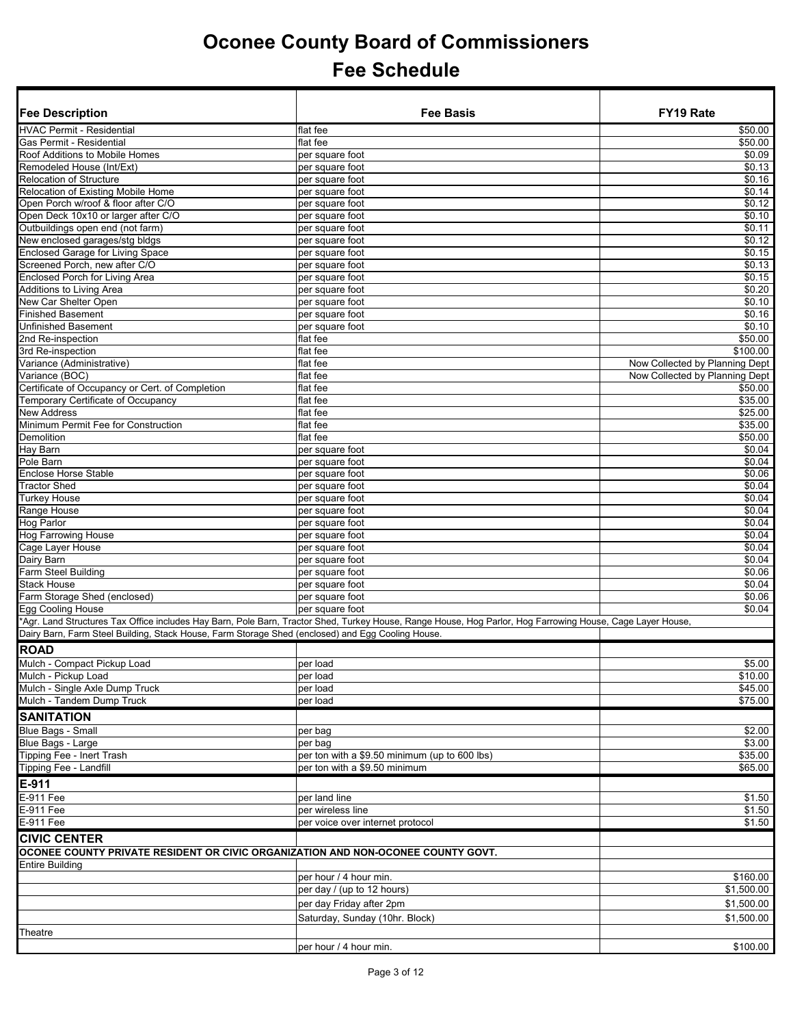| <b>Fee Description</b>                                                                            | <b>Fee Basis</b>                                                                                                                                           | FY19 Rate                      |
|---------------------------------------------------------------------------------------------------|------------------------------------------------------------------------------------------------------------------------------------------------------------|--------------------------------|
| <b>HVAC Permit - Residential</b>                                                                  | flat fee                                                                                                                                                   | \$50.00                        |
| Gas Permit - Residential                                                                          | flat fee                                                                                                                                                   | \$50.00                        |
| Roof Additions to Mobile Homes                                                                    | per square foot                                                                                                                                            | \$0.09                         |
| Remodeled House (Int/Ext)                                                                         | per square foot                                                                                                                                            | \$0.13                         |
| <b>Relocation of Structure</b>                                                                    | per square foot                                                                                                                                            | \$0.16                         |
| Relocation of Existing Mobile Home                                                                | per square foot                                                                                                                                            | \$0.14                         |
| Open Porch w/roof & floor after C/O                                                               | per square foot                                                                                                                                            | \$0.12                         |
| Open Deck 10x10 or larger after C/O                                                               | per square foot                                                                                                                                            | \$0.10                         |
| Outbuildings open end (not farm)                                                                  | per square foot                                                                                                                                            | \$0.11                         |
| New enclosed garages/stg bldgs                                                                    | per square foot                                                                                                                                            | \$0.12                         |
| Enclosed Garage for Living Space<br>Screened Porch, new after C/O                                 | per square foot                                                                                                                                            | \$0.15<br>\$0.13               |
| <b>Enclosed Porch for Living Area</b>                                                             | per square foot<br>per square foot                                                                                                                         | \$0.15                         |
| Additions to Living Area                                                                          | per square foot                                                                                                                                            | \$0.20                         |
| New Car Shelter Open                                                                              | per square foot                                                                                                                                            | \$0.10                         |
| <b>Finished Basement</b>                                                                          | per square foot                                                                                                                                            | \$0.16                         |
| <b>Unfinished Basement</b>                                                                        | per square foot                                                                                                                                            | \$0.10                         |
| 2nd Re-inspection                                                                                 | flat fee                                                                                                                                                   | \$50.00                        |
| 3rd Re-inspection                                                                                 | flat fee                                                                                                                                                   | \$100.00                       |
| Variance (Administrative)                                                                         | flat fee                                                                                                                                                   | Now Collected by Planning Dept |
| Variance (BOC)                                                                                    | flat fee                                                                                                                                                   | Now Collected by Planning Dept |
| Certificate of Occupancy or Cert. of Completion                                                   | flat fee                                                                                                                                                   | \$50.00                        |
| Temporary Certificate of Occupancy                                                                | flat fee                                                                                                                                                   | \$35.00                        |
| <b>New Address</b>                                                                                | flat fee                                                                                                                                                   | \$25.00                        |
| Minimum Permit Fee for Construction                                                               | flat fee                                                                                                                                                   | \$35.00                        |
| <b>Demolition</b>                                                                                 | flat fee                                                                                                                                                   | \$50.00                        |
| Hay Barn                                                                                          | per square foot                                                                                                                                            | \$0.04                         |
| Pole Barn                                                                                         | per square foot                                                                                                                                            | \$0.04                         |
| <b>Enclose Horse Stable</b><br><b>Tractor Shed</b>                                                | per square foot                                                                                                                                            | \$0.06<br>\$0.04               |
| <b>Turkey House</b>                                                                               | per square foot<br>per square foot                                                                                                                         | \$0.04                         |
| Range House                                                                                       | per square foot                                                                                                                                            | \$0.04                         |
| Hog Parlor                                                                                        | per square foot                                                                                                                                            | \$0.04                         |
| Hog Farrowing House                                                                               | per square foot                                                                                                                                            | \$0.04                         |
| Cage Layer House                                                                                  | per square foot                                                                                                                                            | \$0.04                         |
| Dairy Barn                                                                                        | per square foot                                                                                                                                            | \$0.04                         |
| Farm Steel Building                                                                               | per square foot                                                                                                                                            | \$0.06                         |
| <b>Stack House</b>                                                                                | per square foot                                                                                                                                            | \$0.04                         |
| Farm Storage Shed (enclosed)                                                                      | per square foot                                                                                                                                            | \$0.06                         |
| Egg Cooling House                                                                                 | per square foot                                                                                                                                            | \$0.04                         |
|                                                                                                   | *Agr. Land Structures Tax Office includes Hay Barn, Pole Barn, Tractor Shed, Turkey House, Range House, Hog Parlor, Hog Farrowing House, Cage Layer House, |                                |
| Dairy Barn, Farm Steel Building, Stack House, Farm Storage Shed (enclosed) and Egg Cooling House. |                                                                                                                                                            |                                |
| <b>ROAD</b>                                                                                       |                                                                                                                                                            |                                |
| Mulch - Compact Pickup Load                                                                       | per load                                                                                                                                                   | \$5.00                         |
| Mulch - Pickup Load                                                                               | per load                                                                                                                                                   | \$10.00                        |
| Mulch - Single Axle Dump Truck                                                                    | per load                                                                                                                                                   | \$45.00                        |
| Mulch - Tandem Dump Truck                                                                         | per load                                                                                                                                                   | \$75.00                        |
| <b>SANITATION</b>                                                                                 |                                                                                                                                                            |                                |
| <b>Blue Bags - Small</b>                                                                          | per bag                                                                                                                                                    | \$2.00                         |
| Blue Bags - Large                                                                                 | per bag                                                                                                                                                    | \$3.00                         |
| Tipping Fee - Inert Trash                                                                         | per ton with a \$9.50 minimum (up to 600 lbs)                                                                                                              | \$35.00                        |
| Tipping Fee - Landfill                                                                            | per ton with a \$9.50 minimum                                                                                                                              | \$65.00                        |
| $E-911$                                                                                           |                                                                                                                                                            |                                |
| E-911 Fee                                                                                         | per land line                                                                                                                                              | \$1.50                         |
| E-911 Fee                                                                                         | per wireless line                                                                                                                                          | \$1.50                         |
| E-911 Fee                                                                                         | per voice over internet protocol                                                                                                                           | \$1.50                         |
| <b>CIVIC CENTER</b>                                                                               |                                                                                                                                                            |                                |
| OCONEE COUNTY PRIVATE RESIDENT OR CIVIC ORGANIZATION AND NON-OCONEE COUNTY GOVT.                  |                                                                                                                                                            |                                |
| <b>Entire Building</b>                                                                            |                                                                                                                                                            |                                |
|                                                                                                   | per hour / 4 hour min.                                                                                                                                     | \$160.00                       |
|                                                                                                   | per day / (up to 12 hours)                                                                                                                                 | \$1,500.00                     |
|                                                                                                   | per day Friday after 2pm                                                                                                                                   | \$1,500.00                     |
|                                                                                                   | Saturday, Sunday (10hr. Block)                                                                                                                             | \$1,500.00                     |
| Theatre                                                                                           |                                                                                                                                                            |                                |
|                                                                                                   |                                                                                                                                                            |                                |
|                                                                                                   | per hour / 4 hour min.                                                                                                                                     | \$100.00                       |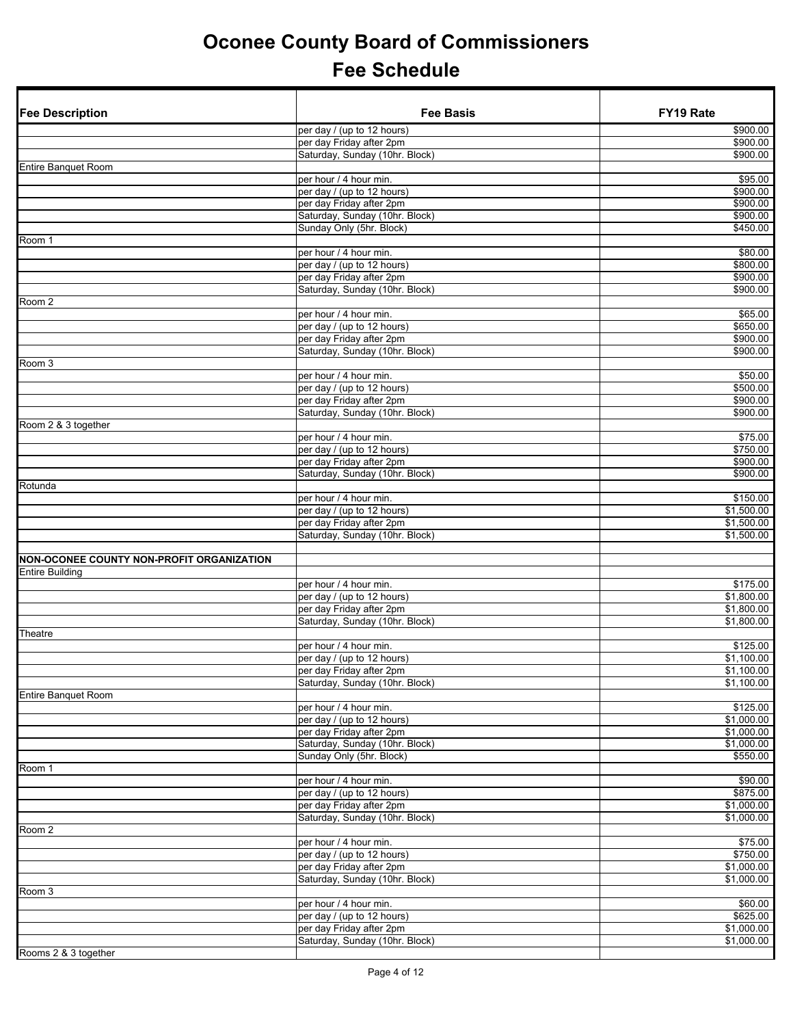| <b>Fee Description</b>                    | <b>Fee Basis</b>                                           | FY19 Rate              |
|-------------------------------------------|------------------------------------------------------------|------------------------|
|                                           | per day / (up to 12 hours)                                 | \$900.00               |
|                                           | per day Friday after 2pm                                   | \$900.00               |
|                                           | Saturday, Sunday (10hr. Block)                             | \$900.00               |
| <b>Entire Banquet Room</b>                |                                                            | $\overline{$95.00}$    |
|                                           | per hour / 4 hour min.<br>per day / (up to 12 hours)       | \$900.00               |
|                                           | per day Friday after 2pm                                   | \$900.00               |
|                                           | Saturday, Sunday (10hr. Block)                             | \$900.00               |
|                                           | Sunday Only (5hr. Block)                                   | \$450.00               |
| Room 1                                    |                                                            |                        |
|                                           | per hour / 4 hour min.<br>per day / (up to 12 hours)       | \$80.00                |
|                                           | per day Friday after 2pm                                   | \$800.00<br>\$900.00   |
|                                           | Saturday, Sunday (10hr. Block)                             | \$900.00               |
| Room 2                                    |                                                            |                        |
|                                           | per hour / 4 hour min.                                     | \$65.00                |
|                                           | per day / (up to 12 hours)                                 | \$650.00               |
|                                           | per day Friday after 2pm                                   | \$900.00               |
| Room 3                                    | Saturday, Sunday (10hr. Block)                             | \$900.00               |
|                                           | per hour / 4 hour min.                                     | \$50.00                |
|                                           | per day / (up to 12 hours)                                 | \$500.00               |
|                                           | per day Friday after 2pm                                   | \$900.00               |
|                                           | Saturday, Sunday (10hr. Block)                             | \$900.00               |
| Room 2 & 3 together                       |                                                            |                        |
|                                           | per hour / 4 hour min.<br>per day / (up to 12 hours)       | \$75.00<br>\$750.00    |
|                                           | per day Friday after 2pm                                   | \$900.00               |
|                                           | Saturday, Sunday (10hr. Block)                             | \$900.00               |
| Rotunda                                   |                                                            |                        |
|                                           | per hour / 4 hour min.                                     | \$150.00               |
|                                           | per day / (up to 12 hours)                                 | \$1,500.00             |
|                                           | per day Friday after 2pm                                   | \$1,500.00             |
|                                           | Saturday, Sunday (10hr. Block)                             | \$1,500.00             |
| NON-OCONEE COUNTY NON-PROFIT ORGANIZATION |                                                            |                        |
| <b>Entire Building</b>                    |                                                            |                        |
|                                           | per hour / 4 hour min.                                     | \$175.00               |
|                                           | per day / (up to 12 hours)                                 | \$1,800.00             |
|                                           | per day Friday after 2pm<br>Saturday, Sunday (10hr. Block) | \$1,800.00             |
| Theatre                                   |                                                            | \$1,800.00             |
|                                           | per hour / 4 hour min.                                     | \$125.00               |
|                                           | per day / (up to 12 hours)                                 | \$1,100.00             |
|                                           | per day Friday after 2pm                                   | \$1,100.00             |
|                                           | Saturday, Sunday (10hr. Block)                             | \$1,100.00             |
| <b>Entire Banquet Room</b>                |                                                            |                        |
|                                           | per hour / 4 hour min.<br>per day / (up to 12 hours)       | \$125.00<br>\$1,000.00 |
|                                           | per day Friday after 2pm                                   | \$1,000.00             |
|                                           | Saturday, Sunday (10hr. Block)                             | \$1,000.00             |
|                                           | Sunday Only (5hr. Block)                                   | \$550.00               |
| Room 1                                    |                                                            |                        |
|                                           | per hour / 4 hour min.                                     | \$90.00                |
|                                           | per day / (up to 12 hours)<br>per day Friday after 2pm     | \$875.00<br>\$1,000.00 |
|                                           | Saturday, Sunday (10hr. Block)                             | \$1,000.00             |
| Room 2                                    |                                                            |                        |
|                                           | per hour / 4 hour min.                                     | \$75.00                |
|                                           | per day / (up to 12 hours)                                 | \$750.00               |
|                                           | per day Friday after 2pm                                   | \$1,000.00             |
|                                           | Saturday, Sunday (10hr. Block)                             | \$1,000.00             |
| Room 3                                    | per hour / 4 hour min.                                     | \$60.00                |
|                                           | per day / (up to 12 hours)                                 | \$625.00               |
|                                           | per day Friday after 2pm                                   | \$1,000.00             |
|                                           | Saturday, Sunday (10hr. Block)                             | \$1,000.00             |
| Rooms 2 & 3 together                      |                                                            |                        |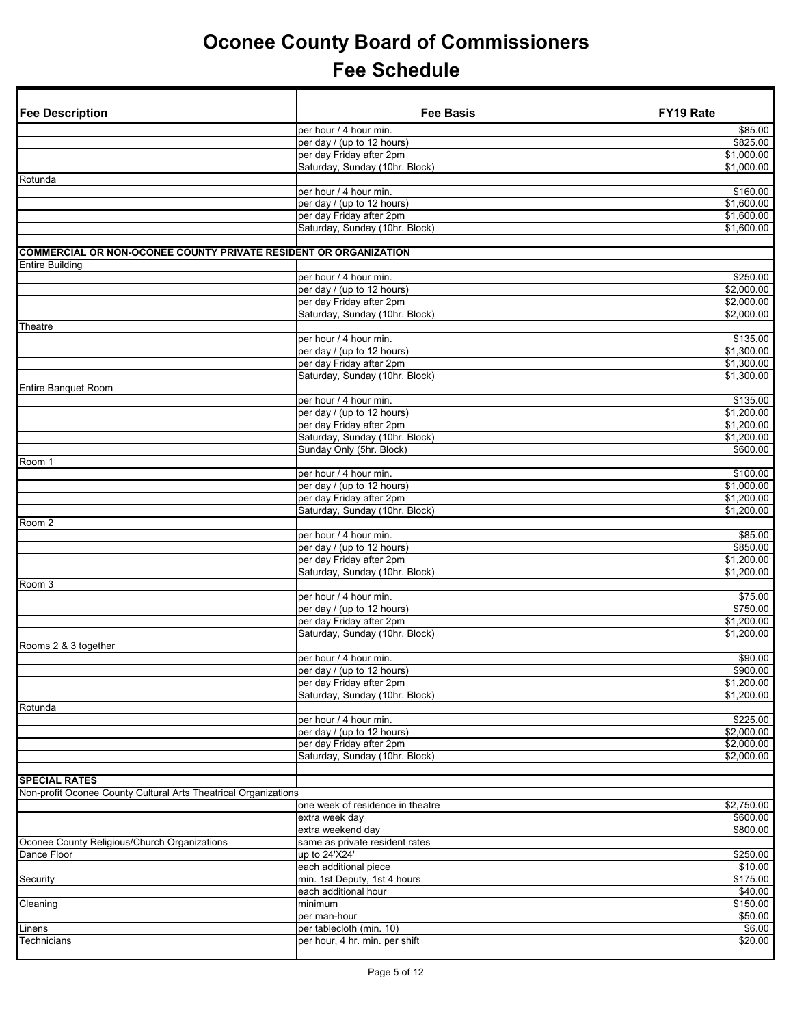| <b>Fee Description</b>                                           | <b>Fee Basis</b>                                | FY19 Rate           |
|------------------------------------------------------------------|-------------------------------------------------|---------------------|
|                                                                  | per hour / 4 hour min.                          | \$85.00             |
|                                                                  | per day / (up to 12 hours)                      | \$825.00            |
|                                                                  | per day Friday after 2pm                        | \$1,000.00          |
|                                                                  | Saturday, Sunday (10hr. Block)                  | \$1,000.00          |
| Rotunda                                                          |                                                 |                     |
|                                                                  | per hour / 4 hour min.                          | \$160.00            |
|                                                                  | per day / (up to 12 hours)                      | \$1,600.00          |
|                                                                  | per day Friday after 2pm                        | \$1,600.00          |
|                                                                  | Saturday, Sunday (10hr. Block)                  | \$1,600.00          |
| COMMERCIAL OR NON-OCONEE COUNTY PRIVATE RESIDENT OR ORGANIZATION |                                                 |                     |
| <b>Entire Building</b>                                           |                                                 |                     |
|                                                                  | per hour / 4 hour min.                          | \$250.00            |
|                                                                  | per day / (up to 12 hours)                      | \$2,000.00          |
|                                                                  | per day Friday after 2pm                        | \$2,000.00          |
|                                                                  | Saturday, Sunday (10hr. Block)                  | \$2,000.00          |
| Theatre                                                          |                                                 |                     |
|                                                                  | per hour / 4 hour min.                          | \$135.00            |
|                                                                  | per day / (up to 12 hours)                      | \$1,300.00          |
|                                                                  | per day Friday after 2pm                        | \$1,300.00          |
|                                                                  | Saturday, Sunday (10hr. Block)                  | \$1,300.00          |
| <b>Entire Banquet Room</b>                                       |                                                 |                     |
|                                                                  | per hour / 4 hour min.                          | \$135.00            |
|                                                                  | per day / (up to 12 hours)                      | \$1,200.00          |
|                                                                  | per day Friday after 2pm                        | \$1,200.00          |
|                                                                  | Saturday, Sunday (10hr. Block)                  | \$1,200.00          |
|                                                                  | Sunday Only (5hr. Block)                        | \$600.00            |
| Room 1                                                           |                                                 |                     |
|                                                                  | per hour / 4 hour min.                          | \$100.00            |
|                                                                  | per day / (up to 12 hours)                      | \$1,000.00          |
|                                                                  | per day Friday after 2pm                        | \$1,200.00          |
| Room 2                                                           | Saturday, Sunday (10hr. Block)                  | \$1,200.00          |
|                                                                  | per hour / 4 hour min.                          | \$85.00             |
|                                                                  | per day / (up to 12 hours)                      | \$850.00            |
|                                                                  | per day Friday after 2pm                        | \$1,200.00          |
|                                                                  | Saturday, Sunday (10hr. Block)                  | \$1,200.00          |
| Room <sub>3</sub>                                                |                                                 |                     |
|                                                                  | per hour / 4 hour min.                          | \$75.00             |
|                                                                  | per day / (up to 12 hours)                      | \$750.00            |
|                                                                  | per day Friday after 2pm                        | \$1,200.00          |
|                                                                  | Saturday, Sunday (10hr. Block)                  | \$1,200.00          |
| Rooms 2 & 3 together                                             |                                                 |                     |
|                                                                  | per hour / 4 hour min.                          | \$90.00             |
|                                                                  | per day / (up to 12 hours)                      | \$900.00            |
|                                                                  | per day Friday after 2pm                        | \$1,200.00          |
|                                                                  | Saturday, Sunday (10hr. Block)                  | \$1,200.00          |
| Rotunda                                                          |                                                 |                     |
|                                                                  | per hour / 4 hour min.                          | \$225.00            |
|                                                                  | per day / (up to 12 hours)                      | \$2,000.00          |
|                                                                  | per day Friday after 2pm                        | \$2,000.00          |
|                                                                  | Saturday, Sunday (10hr. Block)                  | \$2,000.00          |
|                                                                  |                                                 |                     |
| <b>SPECIAL RATES</b>                                             |                                                 |                     |
| Non-profit Oconee County Cultural Arts Theatrical Organizations  |                                                 |                     |
|                                                                  | one week of residence in theatre                | \$2,750.00          |
|                                                                  | extra week day                                  | \$600.00            |
|                                                                  | extra weekend day                               | \$800.00            |
| Oconee County Religious/Church Organizations<br>Dance Floor      | same as private resident rates<br>up to 24'X24' | \$250.00            |
|                                                                  | each additional piece                           |                     |
| Security                                                         | min. 1st Deputy, 1st 4 hours                    | \$10.00<br>\$175.00 |
|                                                                  | each additional hour                            | \$40.00             |
| Cleaning                                                         | minimum                                         | \$150.00            |
|                                                                  | per man-hour                                    | \$50.00             |
| Linens                                                           | per tablecloth (min. 10)                        | \$6.00              |
| Technicians                                                      | per hour, 4 hr. min. per shift                  | \$20.00             |
|                                                                  |                                                 |                     |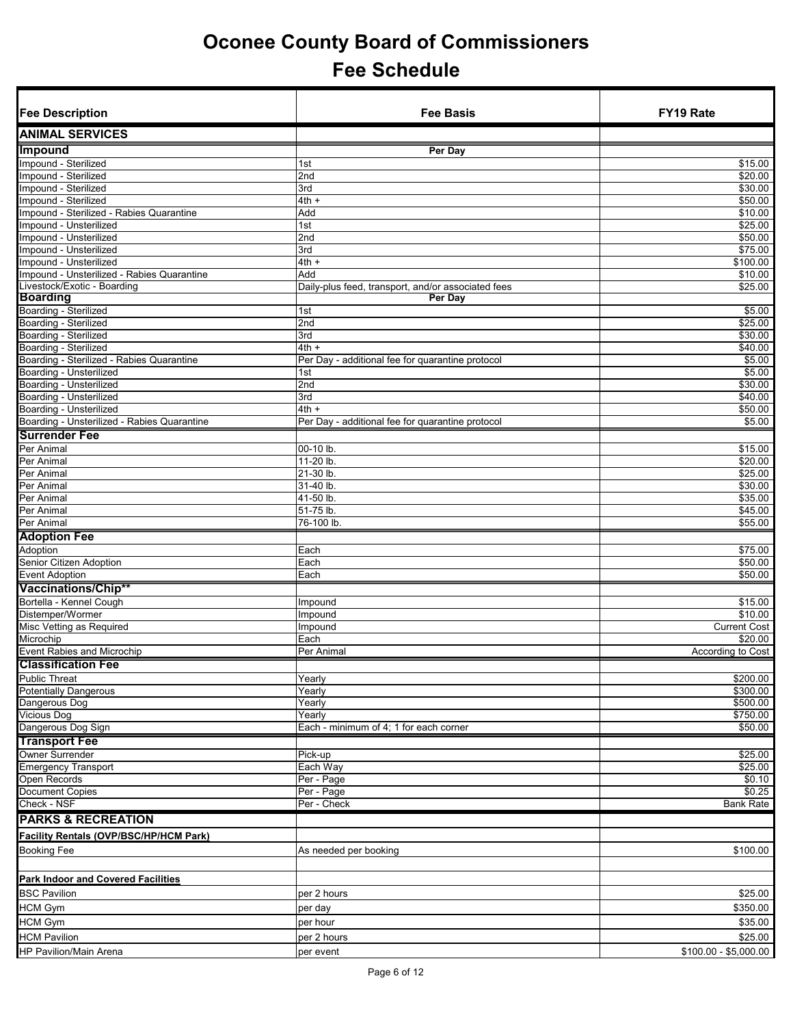| <b>Fee Description</b>                                             | <b>Fee Basis</b>                                   | FY19 Rate             |
|--------------------------------------------------------------------|----------------------------------------------------|-----------------------|
| <b>ANIMAL SERVICES</b>                                             |                                                    |                       |
| <b>Impound</b>                                                     | Per Day                                            |                       |
| Impound - Sterilized                                               | 1st                                                | \$15.00               |
| Impound - Sterilized                                               | 2nd                                                | $\frac{1}{20.00}$     |
| Impound - Sterilized                                               | 3rd                                                | \$30.00               |
| Impound - Sterilized                                               | $4th +$                                            | \$50.00               |
| Impound - Sterilized - Rabies Quarantine<br>Impound - Unsterilized | Add                                                | \$10.00<br>\$25.00    |
| Impound - Unsterilized                                             | 1st<br>2 <sub>nd</sub>                             | \$50.00               |
| Impound - Unsterilized                                             | 3rd                                                | \$75.00               |
| Impound - Unsterilized                                             | $4th +$                                            | \$100.00              |
| Impound - Unsterilized - Rabies Quarantine                         | Add                                                | \$10.00               |
| Livestock/Exotic - Boarding                                        | Daily-plus feed, transport, and/or associated fees | \$25.00               |
| <b>Boarding</b>                                                    | Per Day                                            |                       |
| Boarding - Sterilized                                              | 1st                                                | \$5.00                |
| Boarding - Sterilized                                              | 2nd                                                | \$25.00               |
| Boarding - Sterilized<br>Boarding - Sterilized                     | 3rd<br>$4th +$                                     | \$30.00<br>\$40.00    |
| Boarding - Sterilized - Rabies Quarantine                          | Per Day - additional fee for quarantine protocol   | \$5.00                |
| Boarding - Unsterilized                                            | 1st                                                | \$5.00                |
| Boarding - Unsterilized                                            | 2nd                                                | \$30.00               |
| Boarding - Unsterilized                                            | 3rd                                                | \$40.00               |
| Boarding - Unsterilized                                            | $4th +$                                            | \$50.00               |
| Boarding - Unsterilized - Rabies Quarantine                        | Per Day - additional fee for quarantine protocol   | \$5.00                |
| <b>Surrender Fee</b>                                               |                                                    |                       |
| Per Animal                                                         | 00-10 lb.                                          | \$15.00               |
| Per Animal                                                         | 11-20 lb.                                          | $\frac{1}{20.00}$     |
| Per Animal                                                         | 21-30 lb.                                          | \$25.00               |
| Per Animal<br>Per Animal                                           | 31-40 lb.<br>41-50 lb.                             | \$30.00<br>\$35.00    |
| Per Animal                                                         | 51-75 lb.                                          | \$45.00               |
| Per Animal                                                         | 76-100 lb.                                         | \$55.00               |
| <b>Adoption Fee</b>                                                |                                                    |                       |
| Adoption                                                           | Each                                               | \$75.00               |
| Senior Citizen Adoption                                            | Each                                               | \$50.00               |
| <b>Event Adoption</b>                                              | Each                                               | \$50.00               |
| Vaccinations/Chip**                                                |                                                    |                       |
| Bortella - Kennel Cough                                            | Impound                                            | \$15.00               |
| Distemper/Wormer                                                   | Impound                                            | \$10.00               |
| Misc Vetting as Required                                           | Impound                                            | <b>Current Cost</b>   |
| Microchip                                                          | Each                                               | \$20.00               |
| <b>Event Rabies and Microchip</b>                                  | Per Animal                                         | According to Cost     |
| <b>Classification Fee</b>                                          |                                                    |                       |
| <b>Public Threat</b>                                               | Yearly                                             | \$200.00              |
| <b>Potentially Dangerous</b><br>Dangerous Dog                      | Yearly<br>Yearly                                   | \$300.00<br>\$500.00  |
| <b>Vicious Dog</b>                                                 | Yearly                                             | \$750.00              |
| Dangerous Dog Sign                                                 | Each - minimum of 4; 1 for each corner             | \$50.00               |
| <b>Transport Fee</b>                                               |                                                    |                       |
| <b>Owner Surrender</b>                                             | Pick-up                                            | \$25.00               |
| <b>Emergency Transport</b>                                         | Each Way                                           | \$25.00               |
| Open Records                                                       | Per - Page                                         | \$0.10                |
| Document Copies                                                    | Per - Page                                         | \$0.25                |
| Check - NSF                                                        | Per - Check                                        | <b>Bank Rate</b>      |
| <b>PARKS &amp; RECREATION</b>                                      |                                                    |                       |
| Facility Rentals (OVP/BSC/HP/HCM Park)                             |                                                    |                       |
| <b>Booking Fee</b>                                                 | As needed per booking                              | \$100.00              |
|                                                                    |                                                    |                       |
| <b>Park Indoor and Covered Facilities</b>                          |                                                    |                       |
| <b>BSC Pavilion</b>                                                | per 2 hours                                        | \$25.00               |
|                                                                    |                                                    |                       |
| <b>HCM Gym</b>                                                     | per day                                            | \$350.00              |
| <b>HCM Gym</b>                                                     | per hour                                           | \$35.00               |
| <b>HCM Pavilion</b>                                                | per 2 hours                                        | \$25.00               |
| HP Pavilion/Main Arena                                             | per event                                          | $$100.00 - $5,000.00$ |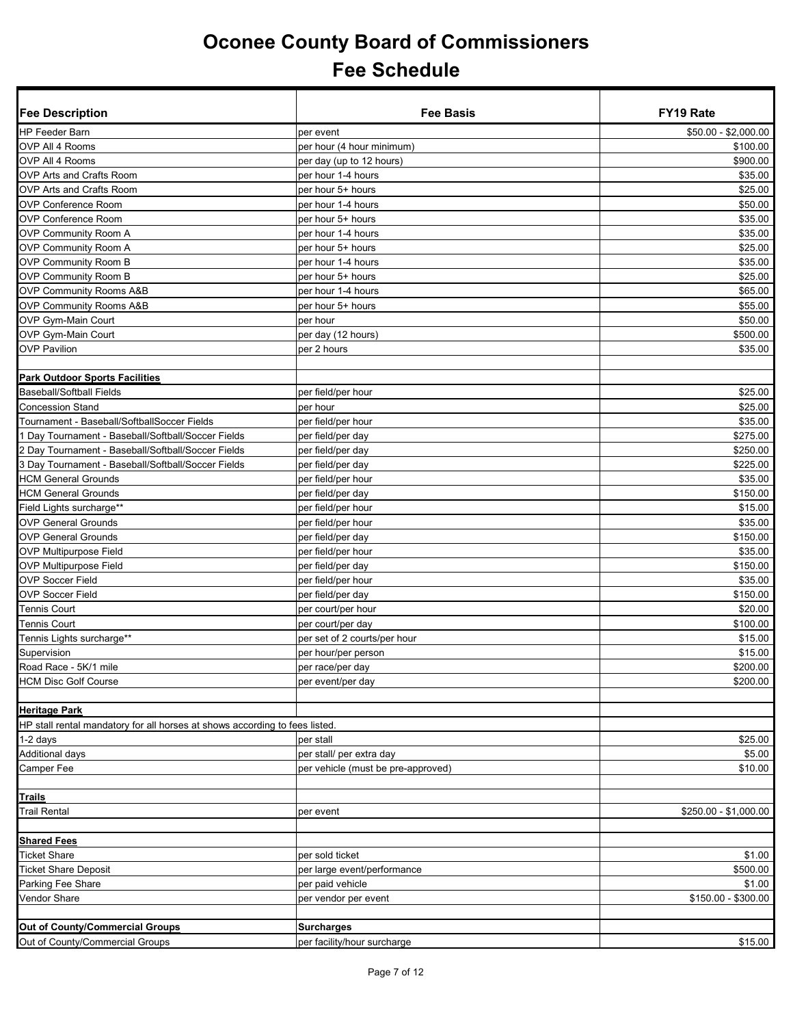| <b>Fee Description</b>                                                      | <b>Fee Basis</b>                   | FY19 Rate             |
|-----------------------------------------------------------------------------|------------------------------------|-----------------------|
| HP Feeder Barn                                                              | per event                          | \$50.00 - \$2,000.00  |
| OVP All 4 Rooms                                                             | per hour (4 hour minimum)          | \$100.00              |
| OVP All 4 Rooms                                                             | per day (up to 12 hours)           | \$900.00              |
| OVP Arts and Crafts Room                                                    | per hour 1-4 hours                 | \$35.00               |
| OVP Arts and Crafts Room                                                    | per hour 5+ hours                  | \$25.00               |
| OVP Conference Room                                                         | per hour 1-4 hours                 | \$50.00               |
| <b>OVP Conference Room</b>                                                  | per hour 5+ hours                  | \$35.00               |
| <b>OVP Community Room A</b>                                                 | per hour 1-4 hours                 | \$35.00               |
| <b>OVP Community Room A</b>                                                 | per hour 5+ hours                  | \$25.00               |
| <b>OVP Community Room B</b>                                                 | per hour 1-4 hours                 | \$35.00               |
| <b>OVP Community Room B</b>                                                 | per hour 5+ hours                  | \$25.00               |
| <b>OVP Community Rooms A&amp;B</b>                                          | per hour 1-4 hours                 | \$65.00               |
| <b>OVP Community Rooms A&amp;B</b>                                          | per hour 5+ hours                  | \$55.00               |
| OVP Gym-Main Court                                                          | per hour                           | \$50.00               |
| OVP Gym-Main Court                                                          | per day (12 hours)                 | \$500.00              |
| <b>OVP Pavilion</b>                                                         | per 2 hours                        | \$35.00               |
|                                                                             |                                    |                       |
| <b>Park Outdoor Sports Facilities</b>                                       |                                    |                       |
| <b>Baseball/Softball Fields</b>                                             | per field/per hour                 | \$25.00               |
| <b>Concession Stand</b>                                                     | per hour                           | \$25.00               |
| Tournament - Baseball/SoftballSoccer Fields                                 | per field/per hour                 | \$35.00               |
| 1 Day Tournament - Baseball/Softball/Soccer Fields                          | per field/per day                  | \$275.00              |
| 2 Day Tournament - Baseball/Softball/Soccer Fields                          | per field/per day                  | \$250.00              |
| 3 Day Tournament - Baseball/Softball/Soccer Fields                          | per field/per day                  | \$225.00              |
| <b>HCM General Grounds</b>                                                  | per field/per hour                 | \$35.00               |
| <b>HCM General Grounds</b>                                                  | per field/per day                  | \$150.00              |
| Field Lights surcharge**                                                    | per field/per hour                 | \$15.00               |
| <b>OVP General Grounds</b>                                                  | per field/per hour                 | \$35.00               |
| <b>OVP General Grounds</b>                                                  | per field/per day                  | \$150.00              |
| <b>OVP Multipurpose Field</b>                                               | per field/per hour                 | \$35.00               |
| <b>OVP Multipurpose Field</b>                                               | per field/per day                  | \$150.00              |
| <b>OVP Soccer Field</b>                                                     | per field/per hour                 | \$35.00               |
| <b>OVP Soccer Field</b>                                                     | per field/per day                  | \$150.00              |
| Tennis Court                                                                | per court/per hour                 | \$20.00               |
| <b>Tennis Court</b>                                                         | per court/per day                  | \$100.00              |
| Tennis Lights surcharge**                                                   | per set of 2 courts/per hour       | \$15.00               |
| Supervision                                                                 | per hour/per person                | \$15.00               |
| Road Race - 5K/1 mile                                                       | per race/per day                   | \$200.00              |
| <b>HCM Disc Golf Course</b>                                                 | per event/per day                  | \$200.00              |
|                                                                             |                                    |                       |
| <b>Heritage Park</b>                                                        |                                    |                       |
| HP stall rental mandatory for all horses at shows according to fees listed. |                                    |                       |
| 1-2 days                                                                    | per stall                          | \$25.00               |
| Additional days                                                             | per stall/ per extra day           | \$5.00                |
| Camper Fee                                                                  | per vehicle (must be pre-approved) | \$10.00               |
|                                                                             |                                    |                       |
| <b>Trails</b>                                                               |                                    |                       |
| Trail Rental                                                                | per event                          | \$250.00 - \$1,000.00 |
|                                                                             |                                    |                       |
| <b>Shared Fees</b>                                                          |                                    |                       |
| <b>Ticket Share</b>                                                         | per sold ticket                    | \$1.00                |
| <b>Ticket Share Deposit</b>                                                 | per large event/performance        | \$500.00              |
| Parking Fee Share                                                           | per paid vehicle                   | \$1.00                |
| Vendor Share                                                                | per vendor per event               | \$150.00 - \$300.00   |
|                                                                             |                                    |                       |
| Out of County/Commercial Groups                                             | <b>Surcharges</b>                  |                       |
| Out of County/Commercial Groups                                             | per facility/hour surcharge        | \$15.00               |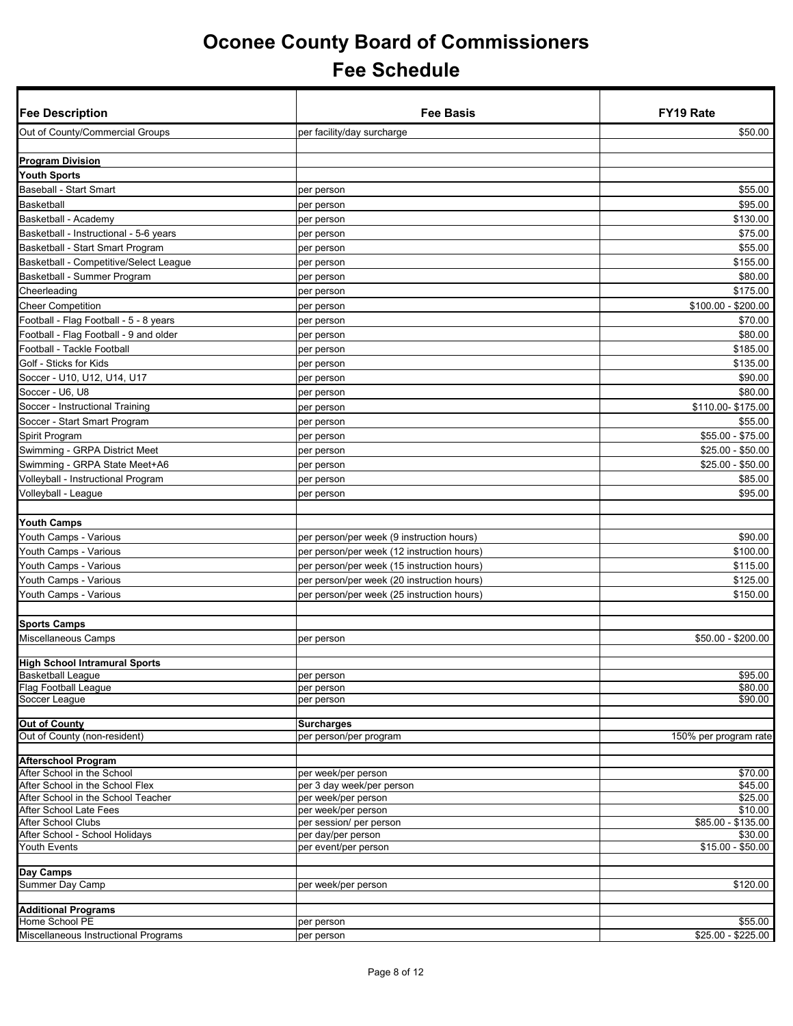| <b>Fee Description</b>                                        | Fee Basis                                        | <b>FY19 Rate</b>      |
|---------------------------------------------------------------|--------------------------------------------------|-----------------------|
| Out of County/Commercial Groups                               | per facility/day surcharge                       | \$50.00               |
|                                                               |                                                  |                       |
| <b>Program Division</b>                                       |                                                  |                       |
| <b>Youth Sports</b>                                           |                                                  |                       |
| Baseball - Start Smart                                        | per person                                       | \$55.00               |
| <b>Basketball</b>                                             | per person                                       | \$95.00               |
| Basketball - Academy                                          | per person                                       | \$130.00              |
| Basketball - Instructional - 5-6 years                        | per person                                       | \$75.00               |
| Basketball - Start Smart Program                              | per person                                       | \$55.00               |
| Basketball - Competitive/Select League                        | per person                                       | \$155.00              |
| Basketball - Summer Program                                   | per person                                       | \$80.00               |
| Cheerleading                                                  | per person                                       | \$175.00              |
| <b>Cheer Competition</b>                                      | per person                                       | \$100.00 - \$200.00   |
| Football - Flag Football - 5 - 8 years                        | per person                                       | \$70.00               |
| Football - Flag Football - 9 and older                        | per person                                       | \$80.00               |
| Football - Tackle Football                                    | per person                                       | \$185.00              |
| Golf - Sticks for Kids                                        | per person                                       | \$135.00              |
| Soccer - U10, U12, U14, U17                                   | per person                                       | \$90.00               |
| Soccer - U6, U8                                               | per person                                       | \$80.00               |
| Soccer - Instructional Training                               | per person                                       | \$110.00-\$175.00     |
| Soccer - Start Smart Program                                  | per person                                       | \$55.00               |
| Spirit Program                                                | per person                                       | \$55.00 - \$75.00     |
| Swimming - GRPA District Meet                                 | per person                                       | $$25.00 - $50.00$     |
| Swimming - GRPA State Meet+A6                                 | per person                                       | $$25.00 - $50.00$     |
| Volleyball - Instructional Program                            | per person                                       | \$85.00               |
| √olleyball - League                                           | per person                                       | \$95.00               |
|                                                               |                                                  |                       |
| <b>Youth Camps</b>                                            |                                                  |                       |
| Youth Camps - Various                                         | per person/per week (9 instruction hours)        | \$90.00               |
| Youth Camps - Various                                         | per person/per week (12 instruction hours)       | \$100.00              |
| Youth Camps - Various                                         | per person/per week (15 instruction hours)       | \$115.00              |
| Youth Camps - Various                                         | per person/per week (20 instruction hours)       | \$125.00              |
| Youth Camps - Various                                         | per person/per week (25 instruction hours)       | \$150.00              |
|                                                               |                                                  |                       |
| <b>Sports Camps</b>                                           |                                                  |                       |
| Miscellaneous Camps                                           | per person                                       | \$50.00 - \$200.00    |
|                                                               |                                                  |                       |
| <b>High School Intramural Sports</b>                          |                                                  |                       |
| <b>Basketball League</b>                                      | per person                                       | \$95.00               |
| Flag Football League<br>Soccer League                         | per person<br>per person                         | \$80.00<br>\$90.00    |
|                                                               |                                                  |                       |
| <b>Out of County</b>                                          | <b>Surcharges</b>                                |                       |
| Out of County (non-resident)                                  | per person/per program                           | 150% per program rate |
|                                                               |                                                  |                       |
| <b>Afterschool Program</b>                                    |                                                  |                       |
| After School in the School<br>After School in the School Flex | per week/per person<br>per 3 day week/per person | \$70.00<br>\$45.00    |
| After School in the School Teacher                            | per week/per person                              | \$25.00               |
| After School Late Fees                                        | per week/per person                              | \$10.00               |
| After School Clubs                                            | per session/ per person                          | $$85.00 - $135.00$    |
| After School - School Holidays                                | per day/per person                               | \$30.00               |
| Youth Events                                                  | per event/per person                             | $$15.00 - $50.00$     |
|                                                               |                                                  |                       |
| Day Camps                                                     |                                                  | \$120.00              |
| Summer Day Camp                                               | per week/per person                              |                       |
| <b>Additional Programs</b>                                    |                                                  |                       |
| Home School PE                                                | per person                                       | \$55.00               |
| Miscellaneous Instructional Programs                          | per person                                       | \$25.00 - \$225.00    |
|                                                               |                                                  |                       |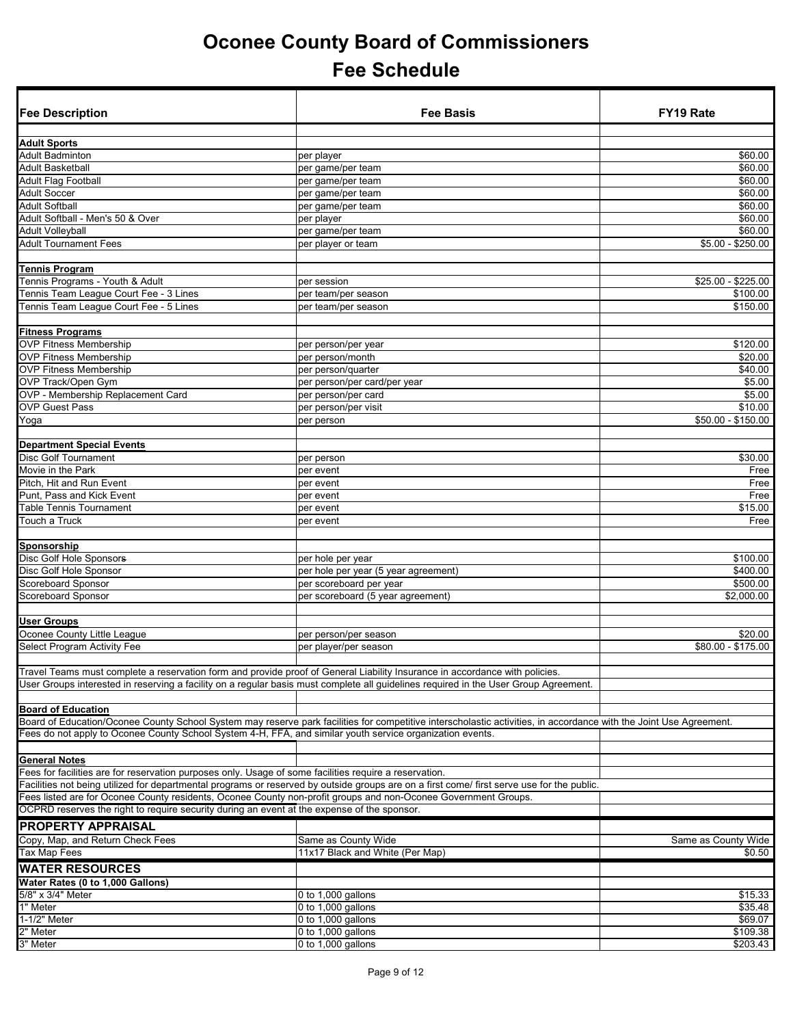| <b>Fee Description</b>                                                                                                         | <b>Fee Basis</b>                                                                                                                                                   | <b>FY19 Rate</b>    |
|--------------------------------------------------------------------------------------------------------------------------------|--------------------------------------------------------------------------------------------------------------------------------------------------------------------|---------------------|
| <b>Adult Sports</b>                                                                                                            |                                                                                                                                                                    |                     |
| <b>Adult Badminton</b>                                                                                                         | per player                                                                                                                                                         | \$60.00             |
| Adult Basketball                                                                                                               | per game/per team                                                                                                                                                  | \$60.00             |
| <b>Adult Flag Football</b>                                                                                                     | per game/per team                                                                                                                                                  | \$60.00             |
| <b>Adult Soccer</b>                                                                                                            | per game/per team                                                                                                                                                  | \$60.00             |
| <b>Adult Softball</b>                                                                                                          | per game/per team                                                                                                                                                  | \$60.00             |
| Adult Softball - Men's 50 & Over                                                                                               | per player                                                                                                                                                         | \$60.00             |
| <b>Adult Volleyball</b>                                                                                                        | per game/per team                                                                                                                                                  | \$60.00             |
| <b>Adult Tournament Fees</b>                                                                                                   | per player or team                                                                                                                                                 | $$5.00 - $250.00$   |
| Tennis Program                                                                                                                 |                                                                                                                                                                    |                     |
| Tennis Programs - Youth & Adult                                                                                                | per session                                                                                                                                                        | $$25.00 - $225.00$  |
| Tennis Team League Court Fee - 3 Lines                                                                                         | per team/per season                                                                                                                                                | \$100.00            |
| Tennis Team League Court Fee - 5 Lines                                                                                         | per team/per season                                                                                                                                                | \$150.00            |
| <b>Fitness Programs</b>                                                                                                        |                                                                                                                                                                    |                     |
| <b>OVP Fitness Membership</b>                                                                                                  | per person/per year                                                                                                                                                | \$120.00            |
| <b>OVP Fitness Membership</b>                                                                                                  | per person/month                                                                                                                                                   | \$20.00             |
| <b>OVP Fitness Membership</b>                                                                                                  | per person/quarter                                                                                                                                                 | \$40.00             |
| OVP Track/Open Gym                                                                                                             | per person/per card/per year                                                                                                                                       | \$5.00              |
| OVP - Membership Replacement Card                                                                                              | per person/per card                                                                                                                                                | \$5.00              |
| <b>OVP Guest Pass</b>                                                                                                          | per person/per visit                                                                                                                                               | \$10.00             |
| Yoga                                                                                                                           | per person                                                                                                                                                         | \$50.00 - \$150.00  |
| <b>Department Special Events</b>                                                                                               |                                                                                                                                                                    |                     |
| <b>Disc Golf Tournament</b>                                                                                                    | per person                                                                                                                                                         | \$30.00             |
| Movie in the Park                                                                                                              | per event                                                                                                                                                          | Free                |
| Pitch, Hit and Run Event                                                                                                       | per event                                                                                                                                                          | Free                |
| Punt, Pass and Kick Event                                                                                                      | per event                                                                                                                                                          | Free                |
| Table Tennis Tournament                                                                                                        | per event                                                                                                                                                          | \$15.00             |
| Touch a Truck                                                                                                                  | per event                                                                                                                                                          | Free                |
| Sponsorship                                                                                                                    |                                                                                                                                                                    |                     |
| Disc Golf Hole Sponsors                                                                                                        | per hole per year                                                                                                                                                  | \$100.00            |
| Disc Golf Hole Sponsor                                                                                                         | per hole per year (5 year agreement)                                                                                                                               | \$400.00            |
| Scoreboard Sponsor                                                                                                             | per scoreboard per year                                                                                                                                            | \$500.00            |
| Scoreboard Sponsor                                                                                                             | per scoreboard (5 year agreement)                                                                                                                                  | \$2,000.00          |
| <b>User Groups</b>                                                                                                             |                                                                                                                                                                    |                     |
| Oconee County Little League                                                                                                    | per person/per season                                                                                                                                              | \$20.00             |
| Select Program Activity Fee                                                                                                    | per player/per season                                                                                                                                              | \$80.00 - \$175.00  |
|                                                                                                                                |                                                                                                                                                                    |                     |
| Travel Teams must complete a reservation form and provide proof of General Liability Insurance in accordance with policies.    | User Groups interested in reserving a facility on a regular basis must complete all guidelines required in the User Group Agreement.                               |                     |
|                                                                                                                                |                                                                                                                                                                    |                     |
| <b>Board of Education</b>                                                                                                      |                                                                                                                                                                    |                     |
| Fees do not apply to Oconee County School System 4-H, FFA, and similar youth service organization events.                      | Board of Education/Oconee County School System may reserve park facilities for competitive interscholastic activities, in accordance with the Joint Use Agreement. |                     |
|                                                                                                                                |                                                                                                                                                                    |                     |
| <b>General Notes</b><br>Fees for facilities are for reservation purposes only. Usage of some facilities require a reservation. |                                                                                                                                                                    |                     |
|                                                                                                                                | Facilities not being utilized for departmental programs or reserved by outside groups are on a first come/ first serve use for the public.                         |                     |
| Fees listed are for Oconee County residents, Oconee County non-profit groups and non-Oconee Government Groups.                 |                                                                                                                                                                    |                     |
| OCPRD reserves the right to require security during an event at the expense of the sponsor.                                    |                                                                                                                                                                    |                     |
| <b>PROPERTY APPRAISAL</b>                                                                                                      |                                                                                                                                                                    |                     |
| Copy, Map, and Return Check Fees                                                                                               | Same as County Wide                                                                                                                                                | Same as County Wide |
| Tax Map Fees                                                                                                                   | 11x17 Black and White (Per Map)                                                                                                                                    | \$0.50              |
| <b>WATER RESOURCES</b>                                                                                                         |                                                                                                                                                                    |                     |
| Water Rates (0 to 1,000 Gallons)                                                                                               |                                                                                                                                                                    |                     |
| 5/8" x 3/4" Meter                                                                                                              | 0 to 1,000 gallons                                                                                                                                                 | \$15.33             |
| 1" Meter<br>1-1/2" Meter                                                                                                       | 0 to 1,000 gallons                                                                                                                                                 | \$35.48<br>\$69.07  |
| $2"$ Meter                                                                                                                     | 0 to 1,000 gallons<br>0 to $1,000$ gallons                                                                                                                         | \$109.38            |
| 3" Meter                                                                                                                       | 0 to 1,000 gallons                                                                                                                                                 | \$203.43            |
|                                                                                                                                |                                                                                                                                                                    |                     |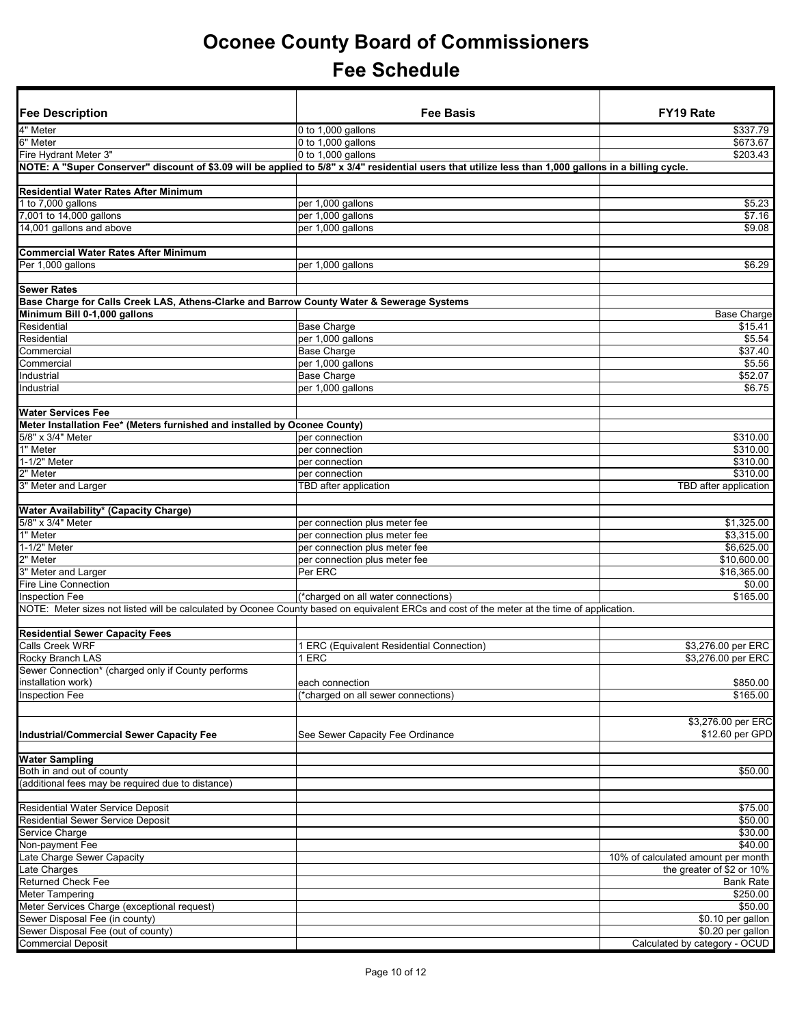| <b>Fee Description</b>                                                                    | <b>Fee Basis</b>                                                                                                                                       | FY19 Rate                              |
|-------------------------------------------------------------------------------------------|--------------------------------------------------------------------------------------------------------------------------------------------------------|----------------------------------------|
|                                                                                           |                                                                                                                                                        |                                        |
| 4" Meter                                                                                  | 0 to 1,000 gallons                                                                                                                                     | \$337.79                               |
| 6" Meter<br>Fire Hydrant Meter 3"                                                         | 0 to 1,000 gallons<br>0 to 1,000 gallons                                                                                                               | \$673.67<br>\$203.43                   |
|                                                                                           | NOTE: A "Super Conserver" discount of \$3.09 will be applied to 5/8" x 3/4" residential users that utilize less than 1,000 gallons in a billing cycle. |                                        |
|                                                                                           |                                                                                                                                                        |                                        |
| <b>Residential Water Rates After Minimum</b>                                              |                                                                                                                                                        |                                        |
| 1 to 7,000 gallons                                                                        | per 1,000 gallons                                                                                                                                      | \$5.23                                 |
| 7,001 to 14,000 gallons                                                                   | per 1,000 gallons                                                                                                                                      | \$7.16                                 |
| 14,001 gallons and above                                                                  | per 1,000 gallons                                                                                                                                      | \$9.08                                 |
|                                                                                           |                                                                                                                                                        |                                        |
| <b>Commercial Water Rates After Minimum</b>                                               |                                                                                                                                                        |                                        |
| Per 1,000 gallons                                                                         | per 1,000 gallons                                                                                                                                      | \$6.29                                 |
|                                                                                           |                                                                                                                                                        |                                        |
| <b>Sewer Rates</b>                                                                        |                                                                                                                                                        |                                        |
| Base Charge for Calls Creek LAS, Athens-Clarke and Barrow County Water & Sewerage Systems |                                                                                                                                                        |                                        |
| Minimum Bill 0-1,000 gallons<br>Residential                                               | <b>Base Charge</b>                                                                                                                                     | <b>Base Charge</b><br>\$15.41          |
| Residential                                                                               | per 1,000 gallons                                                                                                                                      | \$5.54                                 |
| Commercial                                                                                | <b>Base Charge</b>                                                                                                                                     | $\sqrt{$37.40}$                        |
| Commercial                                                                                | per 1,000 gallons                                                                                                                                      | \$5.56                                 |
| Industrial                                                                                | <b>Base Charge</b>                                                                                                                                     | \$52.07                                |
| Industrial                                                                                | per 1,000 gallons                                                                                                                                      | \$6.75                                 |
|                                                                                           |                                                                                                                                                        |                                        |
| <b>Water Services Fee</b>                                                                 |                                                                                                                                                        |                                        |
| Meter Installation Fee* (Meters furnished and installed by Oconee County)                 |                                                                                                                                                        |                                        |
| 5/8" x 3/4" Meter                                                                         | per connection                                                                                                                                         | \$310.00                               |
| 1" Meter                                                                                  | per connection                                                                                                                                         | \$310.00                               |
| 1-1/2" Meter                                                                              | per connection                                                                                                                                         | \$310.00                               |
| 2" Meter                                                                                  | per connection                                                                                                                                         | \$310.00                               |
| 3" Meter and Larger                                                                       | TBD after application                                                                                                                                  | TBD after application                  |
|                                                                                           |                                                                                                                                                        |                                        |
| Water Availability* (Capacity Charge)                                                     |                                                                                                                                                        |                                        |
| 5/8" x 3/4" Meter                                                                         | per connection plus meter fee                                                                                                                          | \$1,325.00                             |
| 1" Meter                                                                                  | per connection plus meter fee                                                                                                                          | \$3,315.00                             |
| 1-1/2" Meter                                                                              | per connection plus meter fee                                                                                                                          | \$6,625.00                             |
| 2" Meter                                                                                  | per connection plus meter fee                                                                                                                          | \$10,600.00                            |
| 3" Meter and Larger<br><b>Fire Line Connection</b>                                        | Per ERC                                                                                                                                                | \$16,365.00<br>\$0.00                  |
| <b>Inspection Fee</b>                                                                     | (*charged on all water connections)                                                                                                                    | \$165.00                               |
|                                                                                           | NOTE: Meter sizes not listed will be calculated by Oconee County based on equivalent ERCs and cost of the meter at the time of application.            |                                        |
|                                                                                           |                                                                                                                                                        |                                        |
| <b>Residential Sewer Capacity Fees</b>                                                    |                                                                                                                                                        |                                        |
| <b>Calls Creek WRF</b>                                                                    | 1 ERC (Equivalent Residential Connection)                                                                                                              | \$3,276.00 per ERC                     |
| Rocky Branch LAS                                                                          | 1 ERC                                                                                                                                                  | \$3,276.00 per ERC                     |
| Sewer Connection" (charged only if County performs                                        |                                                                                                                                                        |                                        |
| installation work)                                                                        | each connection                                                                                                                                        | \$850.00                               |
| <b>Inspection Fee</b>                                                                     | (*charged on all sewer connections)                                                                                                                    | \$165.00                               |
|                                                                                           |                                                                                                                                                        |                                        |
|                                                                                           |                                                                                                                                                        | \$3,276.00 per ERC                     |
| <b>Industrial/Commercial Sewer Capacity Fee</b>                                           | See Sewer Capacity Fee Ordinance                                                                                                                       | \$12.60 per GPD                        |
|                                                                                           |                                                                                                                                                        |                                        |
| <b>Water Sampling</b>                                                                     |                                                                                                                                                        |                                        |
| Both in and out of county                                                                 |                                                                                                                                                        | \$50.00                                |
| (additional fees may be required due to distance)                                         |                                                                                                                                                        |                                        |
|                                                                                           |                                                                                                                                                        |                                        |
| <b>Residential Water Service Deposit</b>                                                  |                                                                                                                                                        | \$75.00                                |
| <b>Residential Sewer Service Deposit</b>                                                  |                                                                                                                                                        | \$50.00                                |
| Service Charge                                                                            |                                                                                                                                                        | \$30.00                                |
| Non-payment Fee                                                                           |                                                                                                                                                        | \$40.00                                |
| Late Charge Sewer Capacity                                                                |                                                                                                                                                        | 10% of calculated amount per month     |
| Late Charges                                                                              |                                                                                                                                                        | the greater of \$2 or 10%              |
| <b>Returned Check Fee</b>                                                                 |                                                                                                                                                        | <b>Bank Rate</b>                       |
| Meter Tampering                                                                           |                                                                                                                                                        | \$250.00                               |
| Meter Services Charge (exceptional request)                                               |                                                                                                                                                        | \$50.00                                |
| Sewer Disposal Fee (in county)<br>Sewer Disposal Fee (out of county)                      |                                                                                                                                                        | \$0.10 per gallon<br>\$0.20 per gallon |
| <b>Commercial Deposit</b>                                                                 |                                                                                                                                                        | Calculated by category - OCUD          |
|                                                                                           |                                                                                                                                                        |                                        |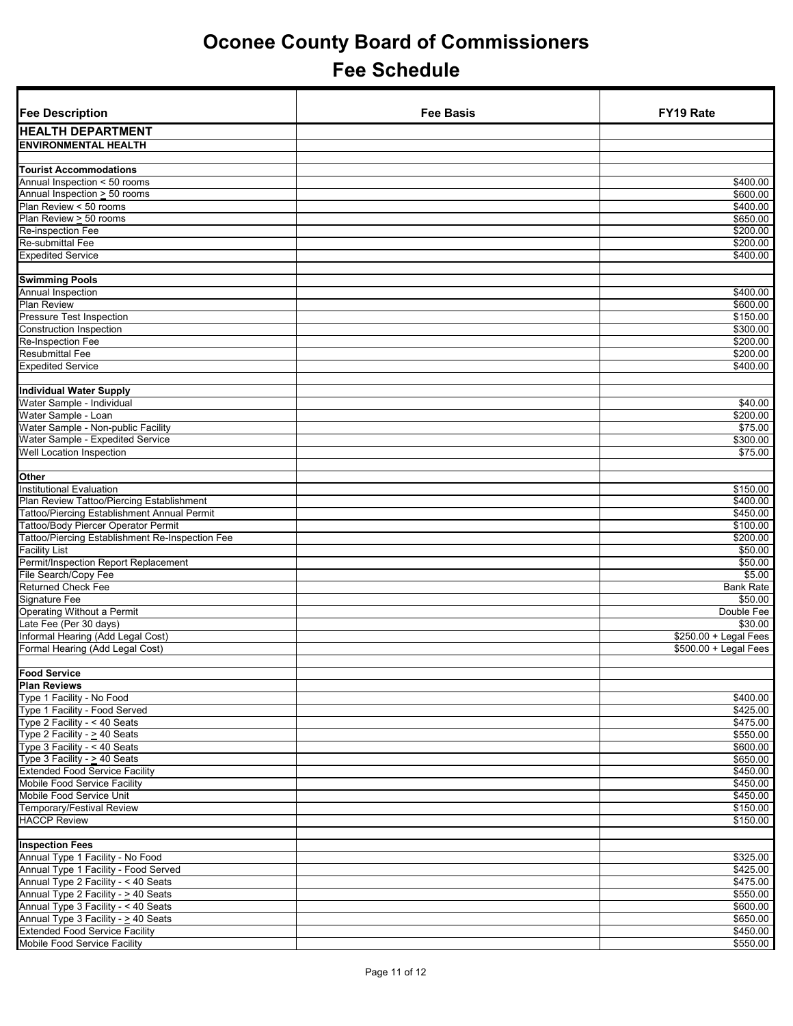| <b>Fee Description</b>                                       | <b>Fee Basis</b> | FY19 Rate              |
|--------------------------------------------------------------|------------------|------------------------|
| <b>HEALTH DEPARTMENT</b>                                     |                  |                        |
| <b>ENVIRONMENTAL HEALTH</b>                                  |                  |                        |
|                                                              |                  |                        |
| <b>Tourist Accommodations</b>                                |                  |                        |
| Annual Inspection < 50 rooms<br>Annual Inspection > 50 rooms |                  | \$400.00<br>\$600.00   |
| Plan Review < 50 rooms                                       |                  | \$400.00               |
| Plan Review > 50 rooms                                       |                  | \$650.00               |
| Re-inspection Fee                                            |                  | \$200.00               |
| Re-submittal Fee                                             |                  | \$200.00               |
| <b>Expedited Service</b>                                     |                  | \$400.00               |
|                                                              |                  |                        |
| <b>Swimming Pools</b>                                        |                  |                        |
| Annual Inspection                                            |                  | \$400.00               |
| <b>Plan Review</b>                                           |                  | \$600.00               |
| <b>Pressure Test Inspection</b>                              |                  | \$150.00               |
| <b>Construction Inspection</b>                               |                  | \$300.00               |
| <b>Re-Inspection Fee</b>                                     |                  | \$200.00               |
| <b>Resubmittal Fee</b>                                       |                  | \$200.00               |
| <b>Expedited Service</b>                                     |                  | \$400.00               |
|                                                              |                  |                        |
| <b>Individual Water Supply</b>                               |                  |                        |
| Water Sample - Individual                                    |                  | \$40.00                |
| Water Sample - Loan<br>Water Sample - Non-public Facility    |                  | \$200.00<br>\$75.00    |
| Water Sample - Expedited Service                             |                  | \$300.00               |
| Well Location Inspection                                     |                  | \$75.00                |
|                                                              |                  |                        |
| Other                                                        |                  |                        |
| <b>Institutional Evaluation</b>                              |                  | \$150.00               |
| Plan Review Tattoo/Piercing Establishment                    |                  | \$400.00               |
| Tattoo/Piercing Establishment Annual Permit                  |                  | \$450.00               |
| Tattoo/Body Piercer Operator Permit                          |                  | \$100.00               |
| Tattoo/Piercing Establishment Re-Inspection Fee              |                  | \$200.00               |
| Facility List                                                |                  | \$50.00                |
| Permit/Inspection Report Replacement                         |                  | \$50.00                |
| File Search/Copy Fee                                         |                  | \$5.00                 |
| <b>Returned Check Fee</b>                                    |                  | <b>Bank Rate</b>       |
| <b>Signature Fee</b>                                         |                  | \$50.00                |
| Operating Without a Permit<br>Late Fee (Per 30 days)         |                  | Double Fee<br>\$30.00  |
| Informal Hearing (Add Legal Cost)                            |                  | $$250.00 + Legal Fees$ |
| Formal Hearing (Add Legal Cost)                              |                  | \$500.00 + Legal Fees  |
|                                                              |                  |                        |
| <b>Food Service</b>                                          |                  |                        |
| <b>Plan Reviews</b>                                          |                  |                        |
| Type 1 Facility - No Food                                    |                  | \$400.00               |
| Type 1 Facility - Food Served                                |                  | \$425.00               |
| Type 2 Facility - < 40 Seats                                 |                  | \$475.00               |
| Type 2 Facility - $\geq$ 40 Seats                            |                  | \$550.00               |
| Type 3 Facility - < 40 Seats                                 |                  | \$600.00               |
| Type 3 Facility - $\geq$ 40 Seats                            |                  | \$650.00               |
| <b>Extended Food Service Facility</b>                        |                  | \$450.00               |
| Mobile Food Service Facility                                 |                  | \$450.00               |
| Mobile Food Service Unit                                     |                  | \$450.00               |
| Temporary/Festival Review                                    |                  | \$150.00               |
| <b>HACCP Review</b>                                          |                  | \$150.00               |
|                                                              |                  |                        |
| <b>Inspection Fees</b><br>Annual Type 1 Facility - No Food   |                  | \$325.00               |
| Annual Type 1 Facility - Food Served                         |                  | \$425.00               |
| Annual Type 2 Facility - < 40 Seats                          |                  | \$475.00               |
| Annual Type 2 Facility - > 40 Seats                          |                  | \$550.00               |
| Annual Type 3 Facility - < 40 Seats                          |                  | \$600.00               |
| Annual Type 3 Facility - > 40 Seats                          |                  | \$650.00               |
| <b>Extended Food Service Facility</b>                        |                  | \$450.00               |
| Mobile Food Service Facility                                 |                  | \$550.00               |
|                                                              |                  |                        |